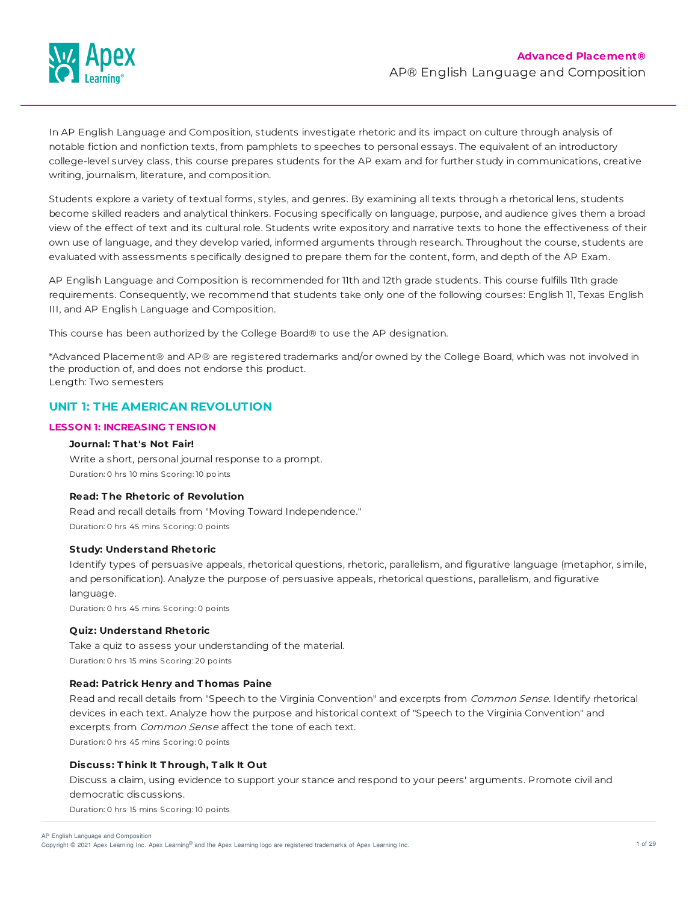

In AP English Language and Composition, students investigate rhetoric and its impact on culture through analysis of notable fiction and nonfiction texts, from pamphlets to speeches to personal essays. The equivalent of an introductory college-level survey class, this course prepares students for the AP exam and for further study in communications, creative writing, journalism, literature, and composition.

Students explore a variety of textual forms, styles, and genres. By examining all texts through a rhetorical lens, students become skilled readers and analytical thinkers. Focusing specifically on language, purpose, and audience gives them a broad view of the effect of text and its cultural role. Students write expository and narrative texts to hone the effectiveness of their own use of language, and they develop varied, informed arguments through research. Throughout the course, students are evaluated with assessments specifically designed to prepare them for the content, form, and depth of the AP Exam.

AP English Language and Composition is recommended for 11th and 12th grade students. This course fulfills 11th grade requirements. Consequently, we recommend that students take only one of the following courses: English 11, Texas English III, and AP English Language and Composition.

This course has been authorized by the College Board® to use the AP designation.

\*Advanced Placement® and AP® are registered trademarks and/or owned by the College Board, which was not involved in the production of, and does not endorse this product. Length: Two semesters

# **UNIT 1: THE AMERICAN REVOLUTION**

### **LESSON 1: INCREASING T ENSION**

### **Journal: T hat's Not Fair!**

Write a short, personal journal response to a prompt. Duration: 0 hrs 10 mins Scoring: 10 points

# **Read: T he Rhetoric of Revolution**

Read and recall details from "Moving Toward Independence." Duration: 0 hrs 45 mins Scoring: 0 points

### **Study: Understand Rhetoric**

Identify types of persuasive appeals, rhetorical questions, rhetoric, parallelism, and figurative language (metaphor, simile, and personification). Analyze the purpose of persuasive appeals, rhetorical questions, parallelism, and figurative language.

Duration: 0 hrs 45 mins Scoring: 0 points

### **Quiz: Understand Rhetoric**

Take a quiz to assess your understanding of the material. Duration: 0 hrs 15 mins Scoring: 20 points

# **Read: Patrick Henry and T homas Paine**

Read and recall details from "Speech to the Virginia Convention" and excerpts from Common Sense. Identify rhetorical devices in each text. Analyze how the purpose and historical context of "Speech to the Virginia Convention" and excerpts from Common Sense affect the tone of each text. Duration: 0 hrs 45 mins Scoring: 0 points

**Discuss: T hink It T hrough, T alk It Out**

Discuss a claim, using evidence to support your stance and respond to your peers' arguments. Promote civil and democratic discussions.

Duration: 0 hrs 15 mins Scoring: 10 points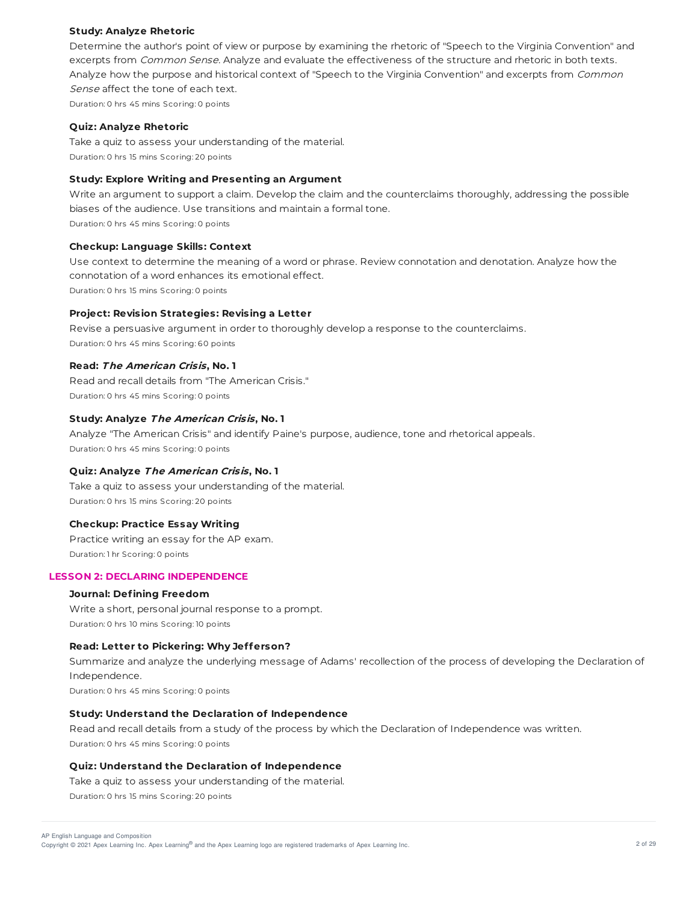### **Study: Analyze Rhetoric**

Determine the author's point of view or purpose by examining the rhetoric of "Speech to the Virginia Convention" and excerpts from Common Sense. Analyze and evaluate the effectiveness of the structure and rhetoric in both texts. Analyze how the purpose and historical context of "Speech to the Virginia Convention" and excerpts from Common Sense affect the tone of each text.

Duration: 0 hrs 45 mins Scoring: 0 points

#### **Quiz: Analyze Rhetoric**

Take a quiz to assess your understanding of the material. Duration: 0 hrs 15 mins Scoring: 20 points

### **Study: Explore Writing and Presenting an Argument**

Write an argument to support a claim. Develop the claim and the counterclaims thoroughly, addressing the possible biases of the audience. Use transitions and maintain a formal tone.

Duration: 0 hrs 45 mins Scoring: 0 points

#### **Checkup: Language Skills: Context**

Use context to determine the meaning of a word or phrase. Review connotation and denotation. Analyze how the connotation of a word enhances its emotional effect. Duration: 0 hrs 15 mins Scoring: 0 points

### **Project: Revision Strategies: Revising a Letter**

Revise a persuasive argument in order to thoroughly develop a response to the counterclaims. Duration: 0 hrs 45 mins Scoring: 60 points

### **Read: The American Crisis, No. 1**

Read and recall details from "The American Crisis." Duration: 0 hrs 45 mins Scoring: 0 points

# **Study: Analyze The American Crisis, No. 1**

Analyze "The American Crisis" and identify Paine's purpose, audience, tone and rhetorical appeals. Duration: 0 hrs 45 mins Scoring: 0 points

### **Quiz: Analyze The American Crisis, No. 1**

Take a quiz to assess your understanding of the material. Duration: 0 hrs 15 mins Scoring: 20 points

#### **Checkup: Practice Essay Writing**

Practice writing an essay for the AP exam. Duration: 1 hr Scoring: 0 points

### **LESSON 2: DECLARING INDEPENDENCE**

# **Journal: Defining Freedom**

Write a short, personal journal response to a prompt. Duration: 0 hrs 10 mins Scoring: 10 points

#### **Read: Letter to Pickering: Why Jefferson?**

Summarize and analyze the underlying message of Adams' recollection of the process of developing the Declaration of Independence.

Duration: 0 hrs 45 mins Scoring: 0 points

# **Study: Understand the Declaration of Independence**

Read and recall details from a study of the process by which the Declaration of Independence was written. Duration: 0 hrs 45 mins Scoring: 0 points

### **Quiz: Understand the Declaration of Independence**

Take a quiz to assess your understanding of the material.

Duration: 0 hrs 15 mins Scoring: 20 points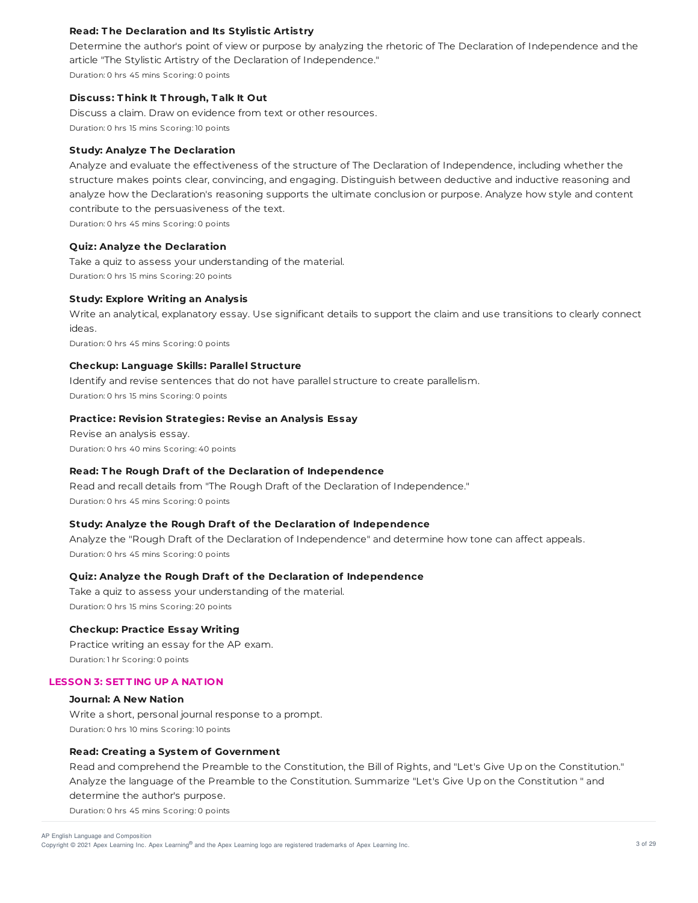# **Read: T he Declaration and Its Stylistic Artistry**

Determine the author's point of view or purpose by analyzing the rhetoric of The Declaration of Independence and the article "The Stylistic Artistry of the Declaration of Independence." Duration: 0 hrs 45 mins Scoring: 0 points

### **Discuss: T hink It T hrough, T alk It Out**

Discuss a claim. Draw on evidence from text or other resources. Duration: 0 hrs 15 mins Scoring: 10 points

### **Study: Analyze T he Declaration**

Analyze and evaluate the effectiveness of the structure of The Declaration of Independence, including whether the structure makes points clear, convincing, and engaging. Distinguish between deductive and inductive reasoning and analyze how the Declaration's reasoning supports the ultimate conclusion or purpose. Analyze how style and content contribute to the persuasiveness of the text.

Duration: 0 hrs 45 mins Scoring: 0 points

### **Quiz: Analyze the Declaration**

Take a quiz to assess your understanding of the material. Duration: 0 hrs 15 mins Scoring: 20 points

## **Study: Explore Writing an Analysis**

Write an analytical, explanatory essay. Use significant details to support the claim and use transitions to clearly connect ideas.

Duration: 0 hrs 45 mins Scoring: 0 points

### **Checkup: Language Skills: Parallel Structure**

Identify and revise sentences that do not have parallel structure to create parallelism. Duration: 0 hrs 15 mins Scoring: 0 points

# **Practice: Revision Strategies: Revise an Analysis Essay**

Revise an analysis essay. Duration: 0 hrs 40 mins Scoring: 40 points

### **Read: T he Rough Draf t of the Declaration of Independence**

Read and recall details from "The Rough Draft of the Declaration of Independence." Duration: 0 hrs 45 mins Scoring: 0 points

### **Study: Analyze the Rough Draf t of the Declaration of Independence**

Analyze the "Rough Draft of the Declaration of Independence" and determine how tone can affect appeals. Duration: 0 hrs 45 mins Scoring: 0 points

## **Quiz: Analyze the Rough Draf t of the Declaration of Independence**

Take a quiz to assess your understanding of the material. Duration: 0 hrs 15 mins Scoring: 20 points

#### **Checkup: Practice Essay Writing**

Practice writing an essay for the AP exam. Duration: 1 hr Scoring: 0 points

### **LESSON 3: SET T ING UP A NAT ION**

### **Journal: A New Nation**

Write a short, personal journal response to a prompt. Duration: 0 hrs 10 mins Scoring: 10 points

### **Read: Creating a System of Government**

Read and comprehend the Preamble to the Constitution, the Bill of Rights, and "Let's Give Up on the Constitution." Analyze the language of the Preamble to the Constitution. Summarize "Let's Give Up on the Constitution " and determine the author's purpose.

Duration: 0 hrs 45 mins Scoring: 0 points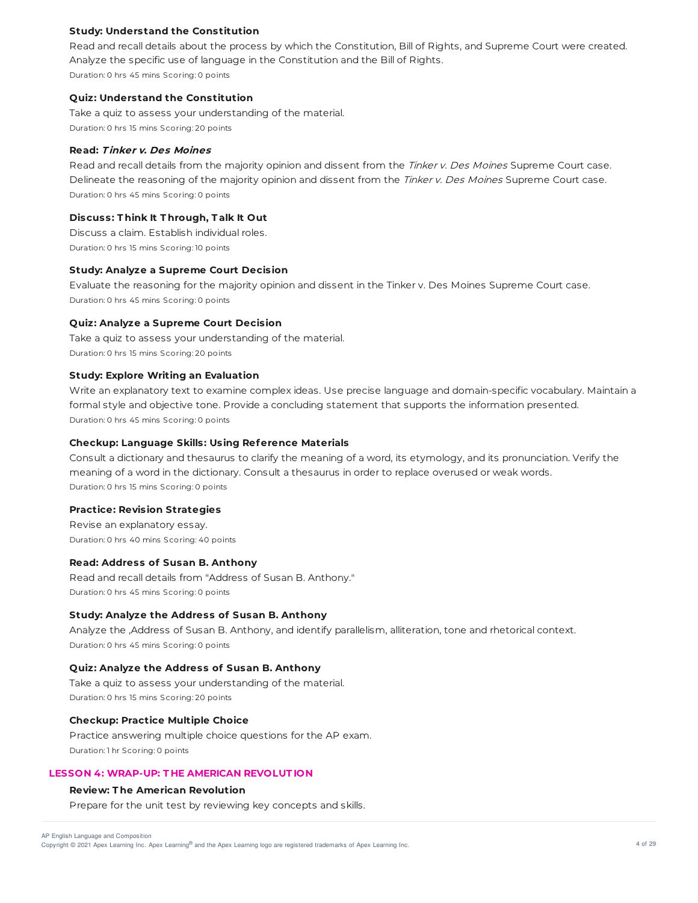### **Study: Understand the Constitution**

Read and recall details about the process by which the Constitution, Bill of Rights, and Supreme Court were created. Analyze the specific use of language in the Constitution and the Bill of Rights. Duration: 0 hrs 45 mins Scoring: 0 points

#### **Quiz: Understand the Constitution**

Take a quiz to assess your understanding of the material. Duration: 0 hrs 15 mins Scoring: 20 points

## **Read: T inker v. Des Moines**

Read and recall details from the majority opinion and dissent from the Tinker v. Des Moines Supreme Court case. Delineate the reasoning of the majority opinion and dissent from the Tinker v. Des Moines Supreme Court case. Duration: 0 hrs 45 mins Scoring: 0 points

### **Discuss: T hink It T hrough, T alk It Out**

Discuss a claim. Establish individual roles. Duration: 0 hrs 15 mins Scoring: 10 points

#### **Study: Analyze a Supreme Court Decision**

Evaluate the reasoning for the majority opinion and dissent in the Tinker v. Des Moines Supreme Court case. Duration: 0 hrs 45 mins Scoring: 0 points

#### **Quiz: Analyze a Supreme Court Decision**

Take a quiz to assess your understanding of the material. Duration: 0 hrs 15 mins Scoring: 20 points

#### **Study: Explore Writing an Evaluation**

Write an explanatory text to examine complex ideas. Use precise language and domain-specific vocabulary. Maintain a formal style and objective tone. Provide a concluding statement that supports the information presented. Duration: 0 hrs 45 mins Scoring: 0 points

#### **Checkup: Language Skills: Using Reference Materials**

Consult a dictionary and thesaurus to clarify the meaning of a word, its etymology, and its pronunciation. Verify the meaning of a word in the dictionary. Consult a thesaurus in order to replace overused or weak words. Duration: 0 hrs 15 mins Scoring: 0 points

#### **Practice: Revision Strategies**

Revise an explanatory essay. Duration: 0 hrs 40 mins Scoring: 40 points

### **Read: Address of Susan B. Anthony**

Read and recall details from "Address of Susan B. Anthony." Duration: 0 hrs 45 mins Scoring: 0 points

### **Study: Analyze the Address of Susan B. Anthony**

Analyze the ,Address of Susan B. Anthony, and identify parallelism, alliteration, tone and rhetorical context. Duration: 0 hrs 45 mins Scoring: 0 points

#### **Quiz: Analyze the Address of Susan B. Anthony**

Take a quiz to assess your understanding of the material. Duration: 0 hrs 15 mins Scoring: 20 points

# **Checkup: Practice Multiple Choice**

Practice answering multiple choice questions for the AP exam. Duration: 1 hr Scoring: 0 points

# **LESSON 4: WRAP-UP: T HE AMERICAN REVOLUT ION**

# **Review: T he American Revolution**

Prepare for the unit test by reviewing key concepts and skills.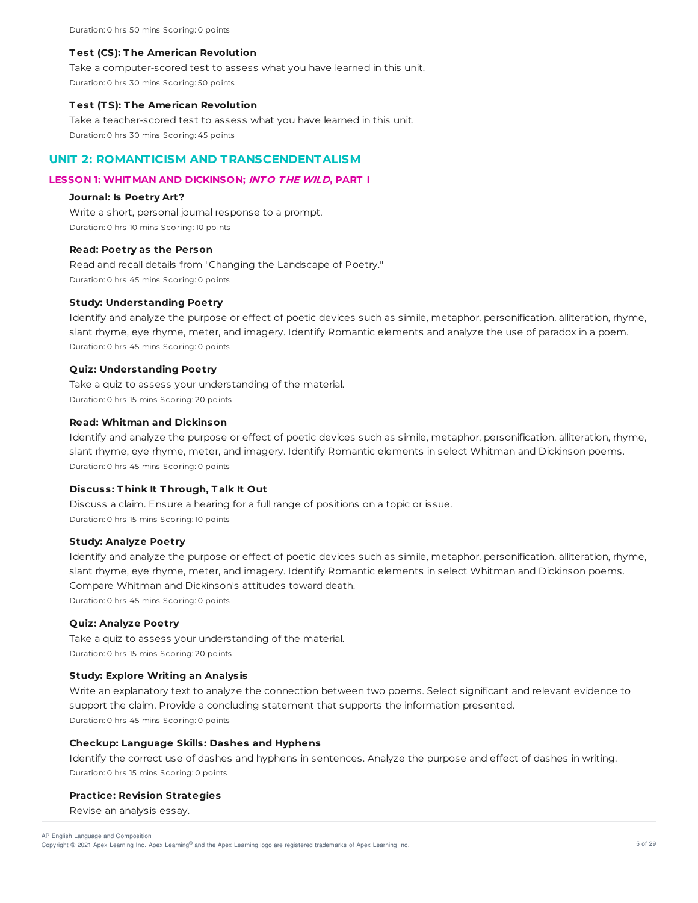Duration: 0 hrs 50 mins Scoring: 0 points

#### **T est (CS): T he American Revolution**

Take a computer-scored test to assess what you have learned in this unit. Duration: 0 hrs 30 mins Scoring: 50 points

#### **T est (T S): T he American Revolution**

Take a teacher-scored test to assess what you have learned in this unit. Duration: 0 hrs 30 mins Scoring: 45 points

# **UNIT 2: ROMANTICISM AND TRANSCENDENTALISM**

# **LESSON 1: WHIT MAN AND DICKINSON; INT O T HE WILD, PART I**

### **Journal: Is Poetry Art?**

Write a short, personal journal response to a prompt. Duration: 0 hrs 10 mins Scoring: 10 points

### **Read: Poetry as the Person**

Read and recall details from "Changing the Landscape of Poetry." Duration: 0 hrs 45 mins Scoring: 0 points

#### **Study: Understanding Poetry**

Identify and analyze the purpose or effect of poetic devices such as simile, metaphor, personification, alliteration, rhyme, slant rhyme, eye rhyme, meter, and imagery. Identify Romantic elements and analyze the use of paradox in a poem. Duration: 0 hrs 45 mins Scoring: 0 points

### **Quiz: Understanding Poetry**

Take a quiz to assess your understanding of the material. Duration: 0 hrs 15 mins Scoring: 20 points

### **Read: Whitman and Dickinson**

Identify and analyze the purpose or effect of poetic devices such as simile, metaphor, personification, alliteration, rhyme, slant rhyme, eye rhyme, meter, and imagery. Identify Romantic elements in select Whitman and Dickinson poems. Duration: 0 hrs 45 mins Scoring: 0 points

### **Discuss: T hink It T hrough, T alk It Out**

Discuss a claim. Ensure a hearing for a full range of positions on a topic or issue. Duration: 0 hrs 15 mins Scoring: 10 points

### **Study: Analyze Poetry**

Identify and analyze the purpose or effect of poetic devices such as simile, metaphor, personification, alliteration, rhyme, slant rhyme, eye rhyme, meter, and imagery. Identify Romantic elements in select Whitman and Dickinson poems. Compare Whitman and Dickinson's attitudes toward death. Duration: 0 hrs 45 mins Scoring: 0 points

#### **Quiz: Analyze Poetry**

Take a quiz to assess your understanding of the material. Duration: 0 hrs 15 mins Scoring: 20 points

### **Study: Explore Writing an Analysis**

Write an explanatory text to analyze the connection between two poems. Select significant and relevant evidence to support the claim. Provide a concluding statement that supports the information presented. Duration: 0 hrs 45 mins Scoring: 0 points

#### **Checkup: Language Skills: Dashes and Hyphens**

Identify the correct use of dashes and hyphens in sentences. Analyze the purpose and effect of dashes in writing. Duration: 0 hrs 15 mins Scoring: 0 points

#### **Practice: Revision Strategies**

Revise an analysis essay.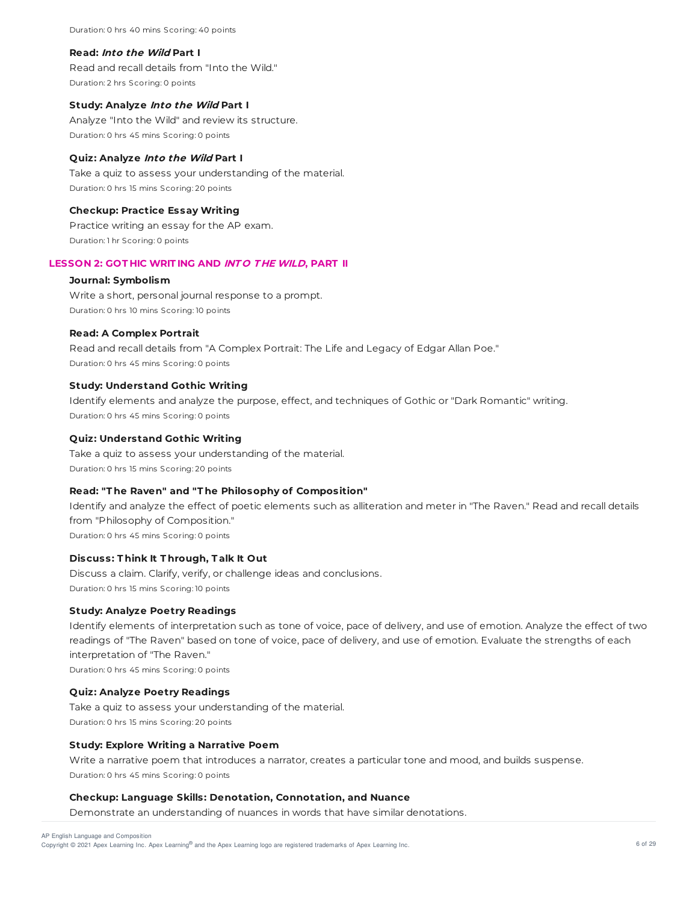Duration: 0 hrs 40 mins Scoring: 40 points

### **Read: Into the Wild Part I**

Read and recall details from "Into the Wild." Duration: 2 hrs Scoring: 0 points

### **Study: Analyze Into the Wild Part I**

Analyze "Into the Wild" and review its structure. Duration: 0 hrs 45 mins Scoring: 0 points

# **Quiz: Analyze Into the Wild Part I**

Take a quiz to assess your understanding of the material. Duration: 0 hrs 15 mins Scoring: 20 points

#### **Checkup: Practice Essay Writing**

Practice writing an essay for the AP exam. Duration: 1 hr Scoring: 0 points

## **LESSON 2: GOT HIC WRIT ING AND INT O T HE WILD, PART II**

### **Journal: Symbolism**

Write a short, personal journal response to a prompt. Duration: 0 hrs 10 mins Scoring: 10 points

#### **Read: A Complex Portrait**

Read and recall details from "A Complex Portrait: The Life and Legacy of Edgar Allan Poe." Duration: 0 hrs 45 mins Scoring: 0 points

### **Study: Understand Gothic Writing**

Identify elements and analyze the purpose, effect, and techniques of Gothic or "Dark Romantic" writing. Duration: 0 hrs 45 mins Scoring: 0 points

#### **Quiz: Understand Gothic Writing**

Take a quiz to assess your understanding of the material. Duration: 0 hrs 15 mins Scoring: 20 points

## **Read: "T he Raven" and "T he Philosophy of Composition"**

Identify and analyze the effect of poetic elements such as alliteration and meter in "The Raven." Read and recall details from "Philosophy of Composition." Duration: 0 hrs 45 mins Scoring: 0 points

### **Discuss: T hink It T hrough, T alk It Out**

Discuss a claim. Clarify, verify, or challenge ideas and conclusions. Duration: 0 hrs 15 mins Scoring: 10 points

### **Study: Analyze Poetry Readings**

Identify elements of interpretation such as tone of voice, pace of delivery, and use of emotion. Analyze the effect of two readings of "The Raven" based on tone of voice, pace of delivery, and use of emotion. Evaluate the strengths of each interpretation of "The Raven."

Duration: 0 hrs 45 mins Scoring: 0 points

#### **Quiz: Analyze Poetry Readings**

Take a quiz to assess your understanding of the material. Duration: 0 hrs 15 mins Scoring: 20 points

## **Study: Explore Writing a Narrative Poem**

Write a narrative poem that introduces a narrator, creates a particular tone and mood, and builds suspense. Duration: 0 hrs 45 mins Scoring: 0 points

### **Checkup: Language Skills: Denotation, Connotation, and Nuance**

Demonstrate an understanding of nuances in words that have similar denotations.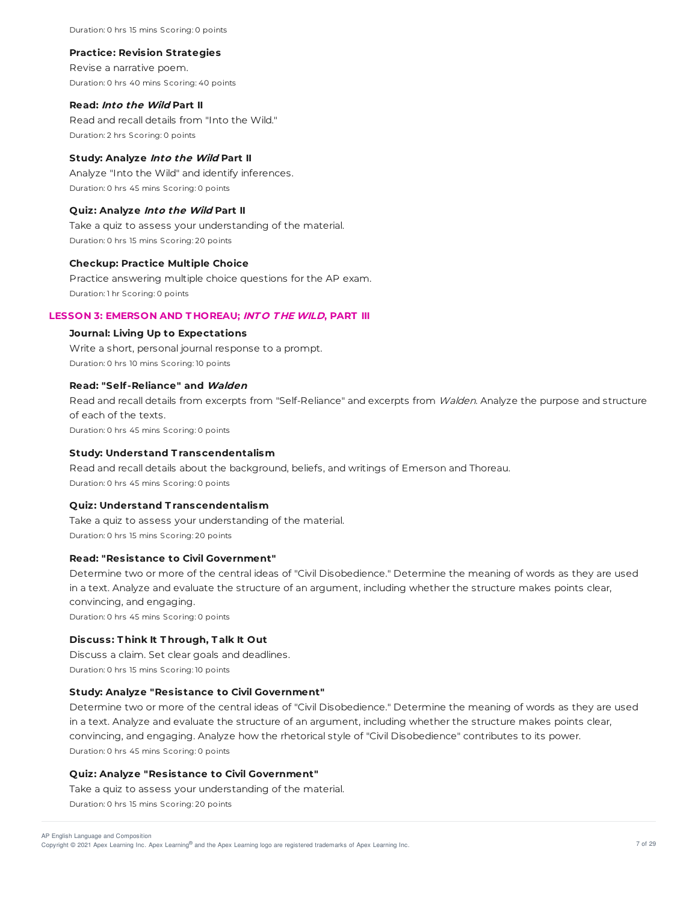Duration: 0 hrs 15 mins Scoring: 0 points

#### **Practice: Revision Strategies**

Revise a narrative poem. Duration: 0 hrs 40 mins Scoring: 40 points

### **Read: Into the Wild Part II**

Read and recall details from "Into the Wild." Duration: 2 hrs Scoring: 0 points

### **Study: Analyze Into the Wild Part II**

Analyze "Into the Wild" and identify inferences. Duration: 0 hrs 45 mins Scoring: 0 points

# **Quiz: Analyze Into the Wild Part II**

Take a quiz to assess your understanding of the material. Duration: 0 hrs 15 mins Scoring: 20 points

# **Checkup: Practice Multiple Choice**

Practice answering multiple choice questions for the AP exam. Duration: 1 hr Scoring: 0 points

# **LESSON 3: EMERSON AND T HOREAU; INT O T HE WILD, PART III**

### **Journal: Living Up to Expectations**

Write a short, personal journal response to a prompt. Duration: 0 hrs 10 mins Scoring: 10 points

# **Read: "Self-Reliance" and Walden**

Read and recall details from excerpts from "Self-Reliance" and excerpts from Walden. Analyze the purpose and structure of each of the texts. Duration: 0 hrs 45 mins Scoring: 0 points

# **Study: Understand T ranscendentalism**

Read and recall details about the background, beliefs, and writings of Emerson and Thoreau. Duration: 0 hrs 45 mins Scoring: 0 points

# **Quiz: Understand T ranscendentalism**

Take a quiz to assess your understanding of the material. Duration: 0 hrs 15 mins Scoring: 20 points

# **Read: "Resistance to Civil Government"**

Determine two or more of the central ideas of "Civil Disobedience." Determine the meaning of words as they are used in a text. Analyze and evaluate the structure of an argument, including whether the structure makes points clear, convincing, and engaging. Duration: 0 hrs 45 mins Scoring: 0 points

# **Discuss: T hink It T hrough, T alk It Out**

Discuss a claim. Set clear goals and deadlines. Duration: 0 hrs 15 mins Scoring: 10 points

# **Study: Analyze "Resistance to Civil Government"**

Determine two or more of the central ideas of "Civil Disobedience." Determine the meaning of words as they are used in a text. Analyze and evaluate the structure of an argument, including whether the structure makes points clear, convincing, and engaging. Analyze how the rhetorical style of "Civil Disobedience" contributes to its power. Duration: 0 hrs 45 mins Scoring: 0 points

### **Quiz: Analyze "Resistance to Civil Government"**

Take a quiz to assess your understanding of the material. Duration: 0 hrs 15 mins Scoring: 20 points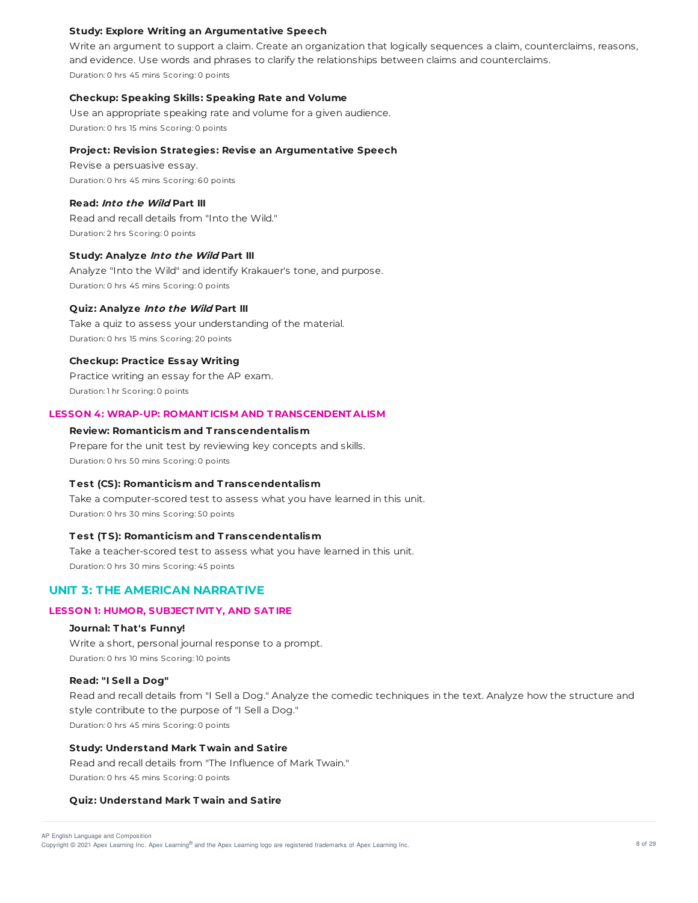### **Study: Explore Writing an Argumentative Speech**

Write an argument to support a claim. Create an organization that logically sequences a claim, counterclaims, reasons, and evidence. Use words and phrases to clarify the relationships between claims and counterclaims. Duration: 0 hrs 45 mins Scoring: 0 points

#### **Checkup: Speaking Skills: Speaking Rate and Volume**

Use an appropriate speaking rate and volume for a given audience. Duration: 0 hrs 15 mins Scoring: 0 points

### **Project: Revision Strategies: Revise an Argumentative Speech**

Revise a persuasive essay. Duration: 0 hrs 45 mins Scoring: 60 points

### **Read: Into the Wild Part III**

Read and recall details from "Into the Wild." Duration: 2 hrs Scoring: 0 points

### **Study: Analyze Into the Wild Part III**

Analyze "Into the Wild" and identify Krakauer's tone, and purpose. Duration: 0 hrs 45 mins Scoring: 0 points

#### **Quiz: Analyze Into the Wild Part III**

Take a quiz to assess your understanding of the material. Duration: 0 hrs 15 mins Scoring: 20 points

#### **Checkup: Practice Essay Writing**

Practice writing an essay for the AP exam. Duration: 1 hr Scoring: 0 points

# **LESSON 4: WRAP-UP: ROMANT ICISM AND T RANSCENDENT ALISM**

### **Review: Romanticism and T ranscendentalism**

Prepare for the unit test by reviewing key concepts and skills. Duration: 0 hrs 50 mins Scoring: 0 points

#### **T est (CS): Romanticism and T ranscendentalism**

Take a computer-scored test to assess what you have learned in this unit. Duration: 0 hrs 30 mins Scoring: 50 points

### **T est (T S): Romanticism and T ranscendentalism**

Take a teacher-scored test to assess what you have learned in this unit. Duration: 0 hrs 30 mins Scoring: 45 points

# **UNIT 3: THE AMERICAN NARRATIVE**

### **LESSON 1: HUMOR, SUBJECT IVIT Y, AND SAT IRE**

#### **Journal: T hat's Funny!**

Write a short, personal journal response to a prompt. Duration: 0 hrs 10 mins Scoring: 10 points

# **Read: "I Sell a Dog"**

Read and recall details from "I Sell a Dog." Analyze the comedic techniques in the text. Analyze how the structure and style contribute to the purpose of "I Sell a Dog." Duration: 0 hrs 45 mins Scoring: 0 points

#### **Study: Understand Mark T wain and Satire**

Read and recall details from "The Influence of Mark Twain." Duration: 0 hrs 45 mins Scoring: 0 points

#### **Quiz: Understand Mark T wain and Satire**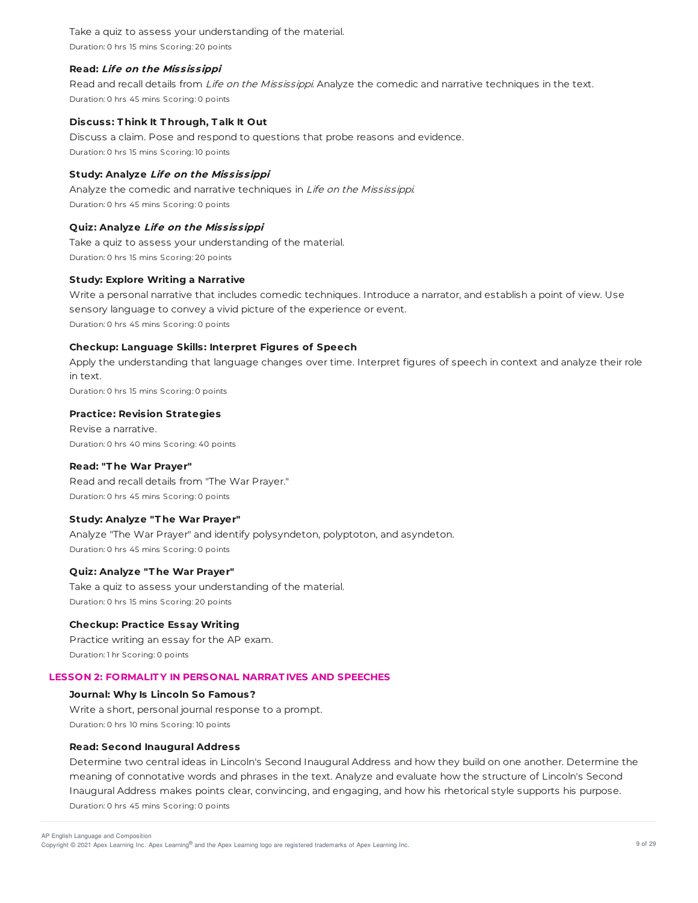Take a quiz to assess your understanding of the material. Duration: 0 hrs 15 mins Scoring: 20 points

# **Read: Life on the Mississippi**

Read and recall details from Life on the Mississippi. Analyze the comedic and narrative techniques in the text. Duration: 0 hrs 45 mins Scoring: 0 points

### **Discuss: T hink It T hrough, T alk It Out**

Discuss a claim. Pose and respond to questions that probe reasons and evidence. Duration: 0 hrs 15 mins Scoring: 10 points

### **Study: Analyze Life on the Mississippi**

Analyze the comedic and narrative techniques in Life on the Mississippi. Duration: 0 hrs 45 mins Scoring: 0 points

### **Quiz: Analyze Life on the Mississippi**

Take a quiz to assess your understanding of the material. Duration: 0 hrs 15 mins Scoring: 20 points

### **Study: Explore Writing a Narrative**

Write a personal narrative that includes comedic techniques. Introduce a narrator, and establish a point of view. Use sensory language to convey a vivid picture of the experience or event. Duration: 0 hrs 45 mins Scoring: 0 points

### **Checkup: Language Skills: Interpret Figures of Speech**

Apply the understanding that language changes over time. Interpret figures of speech in context and analyze their role in text.

Duration: 0 hrs 15 mins Scoring: 0 points

# **Practice: Revision Strategies**

Revise a narrative. Duration: 0 hrs 40 mins Scoring: 40 points

# **Read: "T he War Prayer"**

Read and recall details from "The War Prayer." Duration: 0 hrs 45 mins Scoring: 0 points

## **Study: Analyze "T he War Prayer"**

Analyze "The War Prayer" and identify polysyndeton, polyptoton, and asyndeton. Duration: 0 hrs 45 mins Scoring: 0 points

### **Quiz: Analyze "T he War Prayer"**

Take a quiz to assess your understanding of the material. Duration: 0 hrs 15 mins Scoring: 20 points

### **Checkup: Practice Essay Writing**

Practice writing an essay for the AP exam. Duration: 1 hr Scoring: 0 points

# **LESSON 2: FORMALIT Y IN PERSONAL NARRAT IVES AND SPEECHES**

### **Journal: Why Is Lincoln So Famous?**

Write a short, personal journal response to a prompt. Duration: 0 hrs 10 mins Scoring: 10 points

### **Read: Second Inaugural Address**

Determine two central ideas in Lincoln's Second Inaugural Address and how they build on one another. Determine the meaning of connotative words and phrases in the text. Analyze and evaluate how the structure of Lincoln's Second Inaugural Address makes points clear, convincing, and engaging, and how his rhetorical style supports his purpose. Duration: 0 hrs 45 mins Scoring: 0 points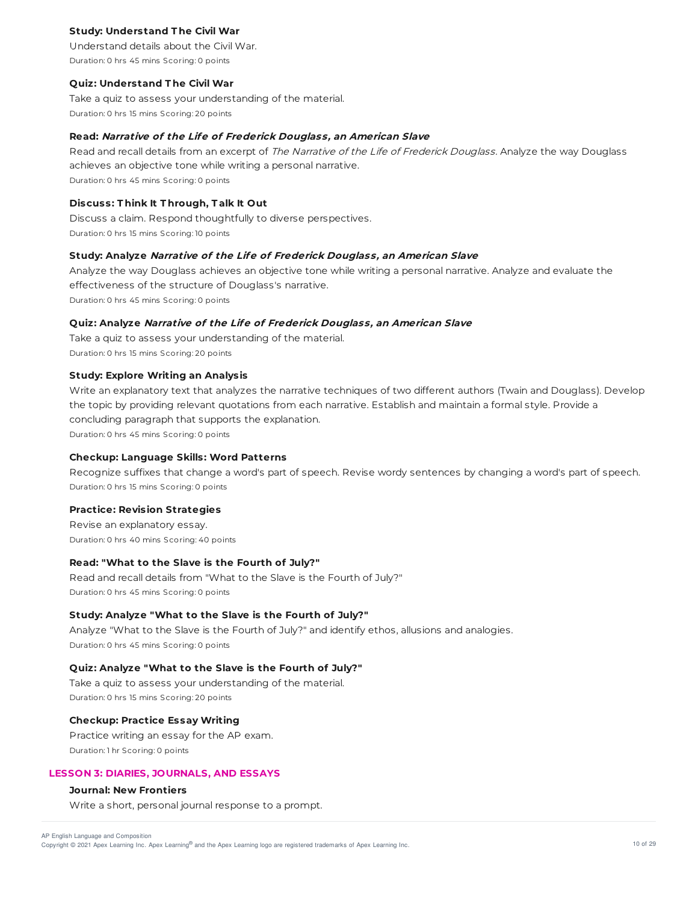# **Study: Understand T he Civil War**

Understand details about the Civil War. Duration: 0 hrs 45 mins Scoring: 0 points

#### **Quiz: Understand T he Civil War**

Take a quiz to assess your understanding of the material. Duration: 0 hrs 15 mins Scoring: 20 points

### **Read: Narrative of the Life of Frederick Douglass, an American Slave**

Read and recall details from an excerpt of The Narrative of the Life of Frederick Douglass. Analyze the way Douglass achieves an objective tone while writing a personal narrative. Duration: 0 hrs 45 mins Scoring: 0 points

#### **Discuss: T hink It T hrough, T alk It Out**

Discuss a claim. Respond thoughtfully to diverse perspectives. Duration: 0 hrs 15 mins Scoring: 10 points

### **Study: Analyze Narrative of the Life of Frederick Douglass, an American Slave**

Analyze the way Douglass achieves an objective tone while writing a personal narrative. Analyze and evaluate the effectiveness of the structure of Douglass's narrative. Duration: 0 hrs 45 mins Scoring: 0 points

### **Quiz: Analyze Narrative of the Life of Frederick Douglass, an American Slave**

Take a quiz to assess your understanding of the material. Duration: 0 hrs 15 mins Scoring: 20 points

# **Study: Explore Writing an Analysis**

Write an explanatory text that analyzes the narrative techniques of two different authors (Twain and Douglass). Develop the topic by providing relevant quotations from each narrative. Establish and maintain a formal style. Provide a concluding paragraph that supports the explanation. Duration: 0 hrs 45 mins Scoring: 0 points

### **Checkup: Language Skills: Word Patterns**

Recognize suffixes that change a word's part of speech. Revise wordy sentences by changing a word's part of speech. Duration: 0 hrs 15 mins Scoring: 0 points

#### **Practice: Revision Strategies**

Revise an explanatory essay. Duration: 0 hrs 40 mins Scoring: 40 points

## **Read: "What to the Slave is the Fourth of July?"**

Read and recall details from "What to the Slave is the Fourth of July?" Duration: 0 hrs 45 mins Scoring: 0 points

### **Study: Analyze "What to the Slave is the Fourth of July?"**

Analyze "What to the Slave is the Fourth of July?" and identify ethos, allusions and analogies. Duration: 0 hrs 45 mins Scoring: 0 points

#### **Quiz: Analyze "What to the Slave is the Fourth of July?"**

Take a quiz to assess your understanding of the material. Duration: 0 hrs 15 mins Scoring: 20 points

# **Checkup: Practice Essay Writing**

Practice writing an essay for the AP exam. Duration: 1 hr Scoring: 0 points

### **LESSON 3: DIARIES, JOURNALS, AND ESSAYS**

# **Journal: New Frontiers**

Write a short, personal journal response to a prompt.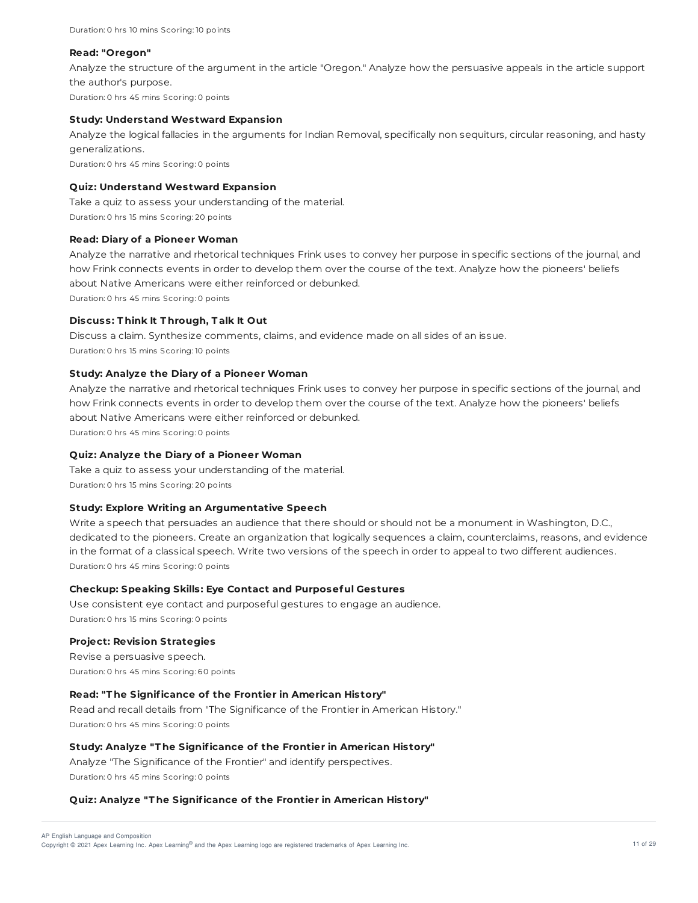Duration: 0 hrs 10 mins Scoring: 10 points

#### **Read: "Oregon"**

Analyze the structure of the argument in the article "Oregon." Analyze how the persuasive appeals in the article support the author's purpose. Duration: 0 hrs 45 mins Scoring: 0 points

### **Study: Understand Westward Expansion**

Analyze the logical fallacies in the arguments for Indian Removal, specifically non sequiturs, circular reasoning, and hasty generalizations. Duration: 0 hrs 45 mins Scoring: 0 points

## **Quiz: Understand Westward Expansion**

Take a quiz to assess your understanding of the material. Duration: 0 hrs 15 mins Scoring: 20 points

### **Read: Diary of a Pioneer Woman**

Analyze the narrative and rhetorical techniques Frink uses to convey her purpose in specific sections of the journal, and how Frink connects events in order to develop them over the course of the text. Analyze how the pioneers' beliefs about Native Americans were either reinforced or debunked. Duration: 0 hrs 45 mins Scoring: 0 points

### **Discuss: T hink It T hrough, T alk It Out**

Discuss a claim. Synthesize comments, claims, and evidence made on all sides of an issue. Duration: 0 hrs 15 mins Scoring: 10 points

### **Study: Analyze the Diary of a Pioneer Woman**

Analyze the narrative and rhetorical techniques Frink uses to convey her purpose in specific sections of the journal, and how Frink connects events in order to develop them over the course of the text. Analyze how the pioneers' beliefs about Native Americans were either reinforced or debunked. Duration: 0 hrs 45 mins Scoring: 0 points

# **Quiz: Analyze the Diary of a Pioneer Woman**

Take a quiz to assess your understanding of the material. Duration: 0 hrs 15 mins Scoring: 20 points

### **Study: Explore Writing an Argumentative Speech**

Write a speech that persuades an audience that there should or should not be a monument in Washington, D.C., dedicated to the pioneers. Create an organization that logically sequences a claim, counterclaims, reasons, and evidence in the format of a classical speech. Write two versions of the speech in order to appeal to two different audiences. Duration: 0 hrs 45 mins Scoring: 0 points

### **Checkup: Speaking Skills: Eye Contact and Purposeful Gestures**

Use consistent eye contact and purposeful gestures to engage an audience. Duration: 0 hrs 15 mins Scoring: 0 points

### **Project: Revision Strategies**

Revise a persuasive speech. Duration: 0 hrs 45 mins Scoring: 60 points

# **Read: "T he Significance of the Frontier in American History"**

Read and recall details from "The Significance of the Frontier in American History." Duration: 0 hrs 45 mins Scoring: 0 points

### **Study: Analyze "T he Significance of the Frontier in American History"**

Analyze "The Significance of the Frontier" and identify perspectives. Duration: 0 hrs 45 mins Scoring: 0 points

### **Quiz: Analyze "T he Significance of the Frontier in American History"**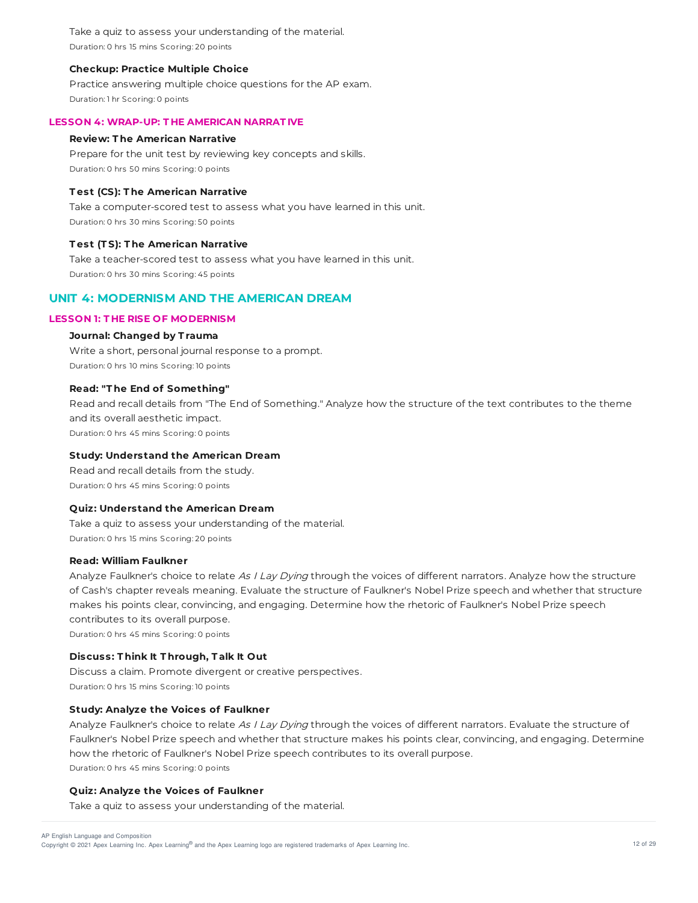Take a quiz to assess your understanding of the material. Duration: 0 hrs 15 mins Scoring: 20 points

### **Checkup: Practice Multiple Choice**

Practice answering multiple choice questions for the AP exam. Duration: 1 hr Scoring: 0 points

# **LESSON 4: WRAP-UP: T HE AMERICAN NARRAT IVE**

#### **Review: T he American Narrative**

Prepare for the unit test by reviewing key concepts and skills. Duration: 0 hrs 50 mins Scoring: 0 points

### **T est (CS): T he American Narrative**

Take a computer-scored test to assess what you have learned in this unit. Duration: 0 hrs 30 mins Scoring: 50 points

### **T est (T S): T he American Narrative**

Take a teacher-scored test to assess what you have learned in this unit. Duration: 0 hrs 30 mins Scoring: 45 points

# **UNIT 4: MODERNISM AND THE AMERICAN DREAM**

# **LESSON 1: T HE RISE OF MODERNISM**

### **Journal: Changed by T rauma**

Write a short, personal journal response to a prompt. Duration: 0 hrs 10 mins Scoring: 10 points

### **Read: "T he End of Something"**

Read and recall details from "The End of Something." Analyze how the structure of the text contributes to the theme and its overall aesthetic impact. Duration: 0 hrs 45 mins Scoring: 0 points

### **Study: Understand the American Dream**

Read and recall details from the study. Duration: 0 hrs 45 mins Scoring: 0 points

# **Quiz: Understand the American Dream**

Take a quiz to assess your understanding of the material. Duration: 0 hrs 15 mins Scoring: 20 points

#### **Read: William Faulkner**

Analyze Faulkner's choice to relate As I Lay Dying through the voices of different narrators. Analyze how the structure of Cash's chapter reveals meaning. Evaluate the structure of Faulkner's Nobel Prize speech and whether that structure makes his points clear, convincing, and engaging. Determine how the rhetoric of Faulkner's Nobel Prize speech contributes to its overall purpose.

Duration: 0 hrs 45 mins Scoring: 0 points

# **Discuss: T hink It T hrough, T alk It Out**

Discuss a claim. Promote divergent or creative perspectives. Duration: 0 hrs 15 mins Scoring: 10 points

### **Study: Analyze the Voices of Faulkner**

Analyze Faulkner's choice to relate As I Lay Dying through the voices of different narrators. Evaluate the structure of Faulkner's Nobel Prize speech and whether that structure makes his points clear, convincing, and engaging. Determine how the rhetoric of Faulkner's Nobel Prize speech contributes to its overall purpose. Duration: 0 hrs 45 mins Scoring: 0 points

#### **Quiz: Analyze the Voices of Faulkner**

Take a quiz to assess your understanding of the material.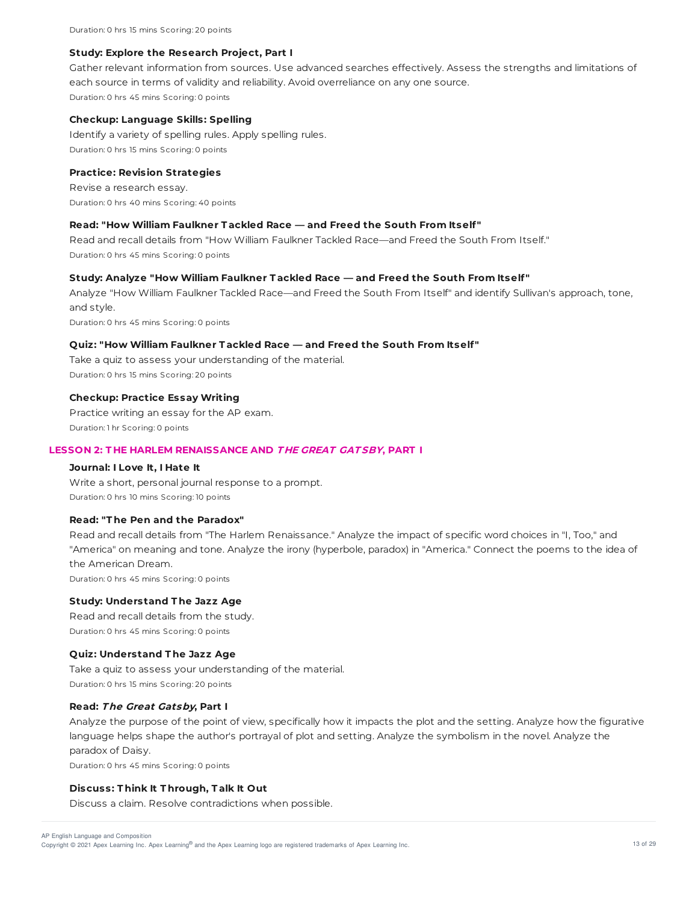Duration: 0 hrs 15 mins Scoring: 20 points

#### **Study: Explore the Research Project, Part I**

Gather relevant information from sources. Use advanced searches effectively. Assess the strengths and limitations of each source in terms of validity and reliability. Avoid overreliance on any one source. Duration: 0 hrs 45 mins Scoring: 0 points

#### **Checkup: Language Skills: Spelling**

Identify a variety of spelling rules. Apply spelling rules. Duration: 0 hrs 15 mins Scoring: 0 points

#### **Practice: Revision Strategies**

Revise a research essay. Duration: 0 hrs 40 mins Scoring: 40 points

### **Read: "How William Faulkner T ackled Race — and Freed the South From Itself "**

Read and recall details from "How William Faulkner Tackled Race—and Freed the South From Itself." Duration: 0 hrs 45 mins Scoring: 0 points

## **Study: Analyze "How William Faulkner T ackled Race — and Freed the South From Itself "**

Analyze "How William Faulkner Tackled Race—and Freed the South From Itself" and identify Sullivan's approach, tone, and style.

Duration: 0 hrs 45 mins Scoring: 0 points

# **Quiz: "How William Faulkner T ackled Race — and Freed the South From Itself "**

Take a quiz to assess your understanding of the material. Duration: 0 hrs 15 mins Scoring: 20 points

# **Checkup: Practice Essay Writing**

Practice writing an essay for the AP exam. Duration: 1 hr Scoring: 0 points

### **LESSON 2: T HE HARLEM RENAISSANCE AND T HE GREAT GAT SBY, PART I**

### **Journal: I Love It, I Hate It**

Write a short, personal journal response to a prompt. Duration: 0 hrs 10 mins Scoring: 10 points

## **Read: "T he Pen and the Paradox"**

Read and recall details from "The Harlem Renaissance." Analyze the impact of specific word choices in "I, Too," and "America" on meaning and tone. Analyze the irony (hyperbole, paradox) in "America." Connect the poems to the idea of the American Dream.

Duration: 0 hrs 45 mins Scoring: 0 points

### **Study: Understand T he Jazz Age**

Read and recall details from the study.

Duration: 0 hrs 45 mins Scoring: 0 points

### **Quiz: Understand T he Jazz Age**

Take a quiz to assess your understanding of the material. Duration: 0 hrs 15 mins Scoring: 20 points

### **Read: The Great Gatsby, Part I**

Analyze the purpose of the point of view, specifically how it impacts the plot and the setting. Analyze how the figurative language helps shape the author's portrayal of plot and setting. Analyze the symbolism in the novel. Analyze the paradox of Daisy.

Duration: 0 hrs 45 mins Scoring: 0 points

# **Discuss: T hink It T hrough, T alk It Out**

Discuss a claim. Resolve contradictions when possible.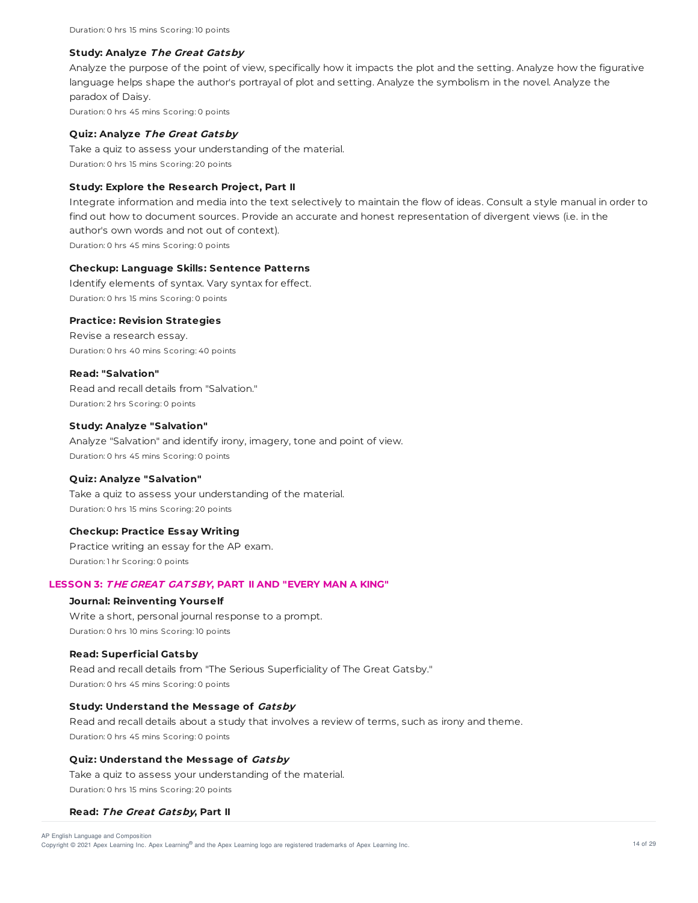Duration: 0 hrs 15 mins Scoring: 10 points

#### **Study: Analyze The Great Gatsby**

Analyze the purpose of the point of view, specifically how it impacts the plot and the setting. Analyze how the figurative language helps shape the author's portrayal of plot and setting. Analyze the symbolism in the novel. Analyze the paradox of Daisy. Duration: 0 hrs 45 mins Scoring: 0 points

#### **Quiz: Analyze The Great Gatsby**

Take a quiz to assess your understanding of the material. Duration: 0 hrs 15 mins Scoring: 20 points

# **Study: Explore the Research Project, Part II**

Integrate information and media into the text selectively to maintain the flow of ideas. Consult a style manual in order to find out how to document sources. Provide an accurate and honest representation of divergent views (i.e. in the author's own words and not out of context). Duration: 0 hrs 45 mins Scoring: 0 points

### **Checkup: Language Skills: Sentence Patterns**

Identify elements of syntax. Vary syntax for effect. Duration: 0 hrs 15 mins Scoring: 0 points

#### **Practice: Revision Strategies**

Revise a research essay. Duration: 0 hrs 40 mins Scoring: 40 points

#### **Read: "Salvation"**

Read and recall details from "Salvation." Duration: 2 hrs Scoring: 0 points

#### **Study: Analyze "Salvation"**

Analyze "Salvation" and identify irony, imagery, tone and point of view. Duration: 0 hrs 45 mins Scoring: 0 points

#### **Quiz: Analyze "Salvation"**

Take a quiz to assess your understanding of the material. Duration: 0 hrs 15 mins Scoring: 20 points

## **Checkup: Practice Essay Writing**

Practice writing an essay for the AP exam. Duration: 1 hr Scoring: 0 points

### **LESSON 3: T HE GREAT GAT SBY, PART II AND "EVERY MAN A KING"**

# **Journal: Reinventing Yourself**

Write a short, personal journal response to a prompt. Duration: 0 hrs 10 mins Scoring: 10 points

### **Read: Superficial Gatsby**

Read and recall details from "The Serious Superficiality of The Great Gatsby." Duration: 0 hrs 45 mins Scoring: 0 points

# **Study: Understand the Message of Gatsby**

Read and recall details about a study that involves a review of terms, such as irony and theme. Duration: 0 hrs 45 mins Scoring: 0 points

## **Quiz: Understand the Message of Gatsby**

Take a quiz to assess your understanding of the material. Duration: 0 hrs 15 mins Scoring: 20 points

#### **Read: The Great Gatsby, Part II**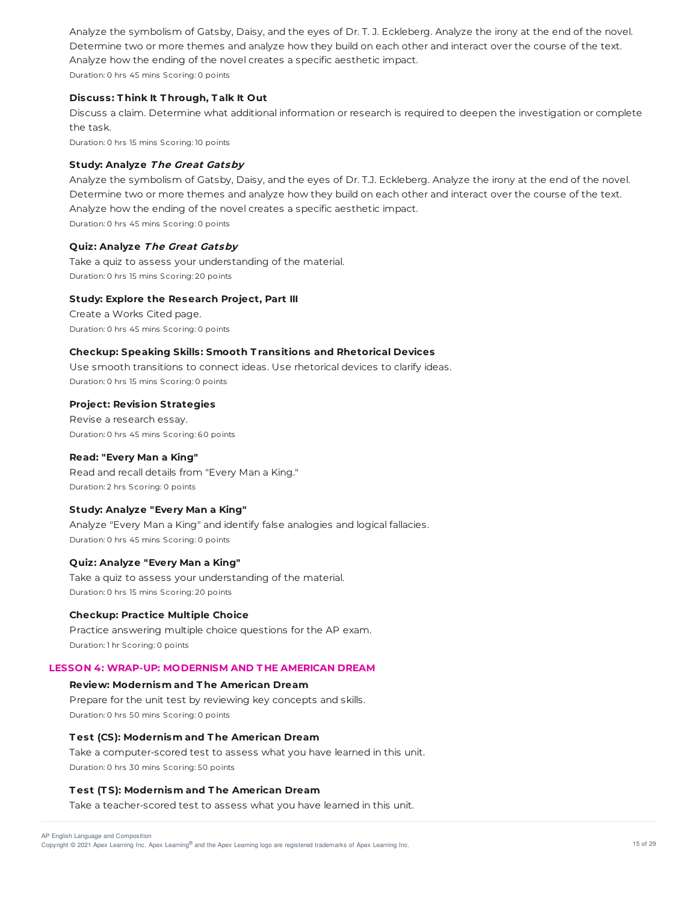Analyze the symbolism of Gatsby, Daisy, and the eyes of Dr. T. J. Eckleberg. Analyze the irony at the end of the novel. Determine two or more themes and analyze how they build on each other and interact over the course of the text. Analyze how the ending of the novel creates a specific aesthetic impact. Duration: 0 hrs 45 mins Scoring: 0 points

## **Discuss: T hink It T hrough, T alk It Out**

Discuss a claim. Determine what additional information or research is required to deepen the investigation or complete the task.

Duration: 0 hrs 15 mins Scoring: 10 points

# **Study: Analyze The Great Gatsby**

Analyze the symbolism of Gatsby, Daisy, and the eyes of Dr. T.J. Eckleberg. Analyze the irony at the end of the novel. Determine two or more themes and analyze how they build on each other and interact over the course of the text. Analyze how the ending of the novel creates a specific aesthetic impact. Duration: 0 hrs 45 mins Scoring: 0 points

### **Quiz: Analyze The Great Gatsby**

Take a quiz to assess your understanding of the material. Duration: 0 hrs 15 mins Scoring: 20 points

## **Study: Explore the Research Project, Part III**

Create a Works Cited page. Duration: 0 hrs 45 mins Scoring: 0 points

# **Checkup: Speaking Skills: Smooth T ransitions and Rhetorical Devices**

Use smooth transitions to connect ideas. Use rhetorical devices to clarify ideas. Duration: 0 hrs 15 mins Scoring: 0 points

### **Project: Revision Strategies**

Revise a research essay. Duration: 0 hrs 45 mins Scoring: 60 points

# **Read: "Every Man a King"**

Read and recall details from "Every Man a King." Duration: 2 hrs Scoring: 0 points

### **Study: Analyze "Every Man a King"**

Analyze "Every Man a King" and identify false analogies and logical fallacies. Duration: 0 hrs 45 mins Scoring: 0 points

## **Quiz: Analyze "Every Man a King"**

Take a quiz to assess your understanding of the material. Duration: 0 hrs 15 mins Scoring: 20 points

### **Checkup: Practice Multiple Choice**

Practice answering multiple choice questions for the AP exam. Duration: 1 hr Scoring: 0 points

# **LESSON 4: WRAP-UP: MODERNISM AND T HE AMERICAN DREAM**

# **Review: Modernism and T he American Dream**

Prepare for the unit test by reviewing key concepts and skills. Duration: 0 hrs 50 mins Scoring: 0 points

### **T est (CS): Modernism and T he American Dream**

Take a computer-scored test to assess what you have learned in this unit. Duration: 0 hrs 30 mins Scoring: 50 points

### **T est (T S): Modernism and T he American Dream**

Take a teacher-scored test to assess what you have learned in this unit.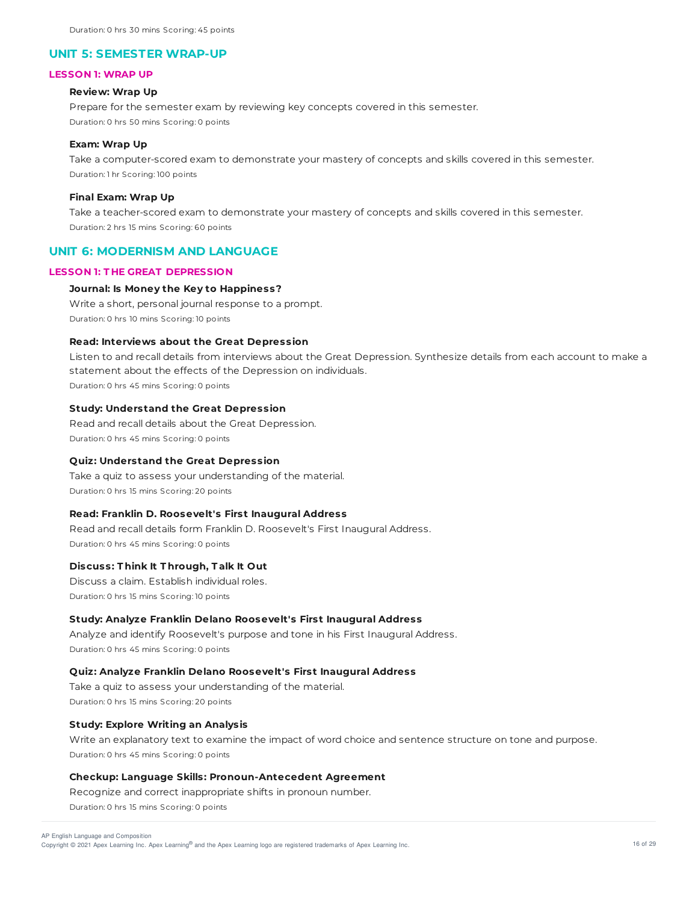## **UNIT 5: SEMESTER WRAP-UP**

#### **LESSON 1: WRAP UP**

### **Review: Wrap Up**

Prepare for the semester exam by reviewing key concepts covered in this semester. Duration: 0 hrs 50 mins Scoring: 0 points

### **Exam: Wrap Up**

Take a computer-scored exam to demonstrate your mastery of concepts and skills covered in this semester. Duration: 1 hr Scoring: 100 points

#### **Final Exam: Wrap Up**

Take a teacher-scored exam to demonstrate your mastery of concepts and skills covered in this semester. Duration: 2 hrs 15 mins Scoring: 60 points

# **UNIT 6: MODERNISM AND LANGUAGE**

# **LESSON 1: T HE GREAT DEPRESSION**

### **Journal: Is Money the Key to Happiness?**

Write a short, personal journal response to a prompt. Duration: 0 hrs 10 mins Scoring: 10 points

### **Read: Interviews about the Great Depression**

Listen to and recall details from interviews about the Great Depression. Synthesize details from each account to make a statement about the effects of the Depression on individuals.

Duration: 0 hrs 45 mins Scoring: 0 points

#### **Study: Understand the Great Depression**

Read and recall details about the Great Depression. Duration: 0 hrs 45 mins Scoring: 0 points

#### **Quiz: Understand the Great Depression**

Take a quiz to assess your understanding of the material. Duration: 0 hrs 15 mins Scoring: 20 points

### **Read: Franklin D. Roosevelt's First Inaugural Address**

Read and recall details form Franklin D. Roosevelt's First Inaugural Address. Duration: 0 hrs 45 mins Scoring: 0 points

### **Discuss: T hink It T hrough, T alk It Out**

Discuss a claim. Establish individual roles. Duration: 0 hrs 15 mins Scoring: 10 points

# **Study: Analyze Franklin Delano Roosevelt's First Inaugural Address**

Analyze and identify Roosevelt's purpose and tone in his First Inaugural Address. Duration: 0 hrs 45 mins Scoring: 0 points

### **Quiz: Analyze Franklin Delano Roosevelt's First Inaugural Address**

Take a quiz to assess your understanding of the material. Duration: 0 hrs 15 mins Scoring: 20 points

#### **Study: Explore Writing an Analysis**

Write an explanatory text to examine the impact of word choice and sentence structure on tone and purpose. Duration: 0 hrs 45 mins Scoring: 0 points

# **Checkup: Language Skills: Pronoun-Antecedent Agreement**

Recognize and correct inappropriate shifts in pronoun number. Duration: 0 hrs 15 mins Scoring: 0 points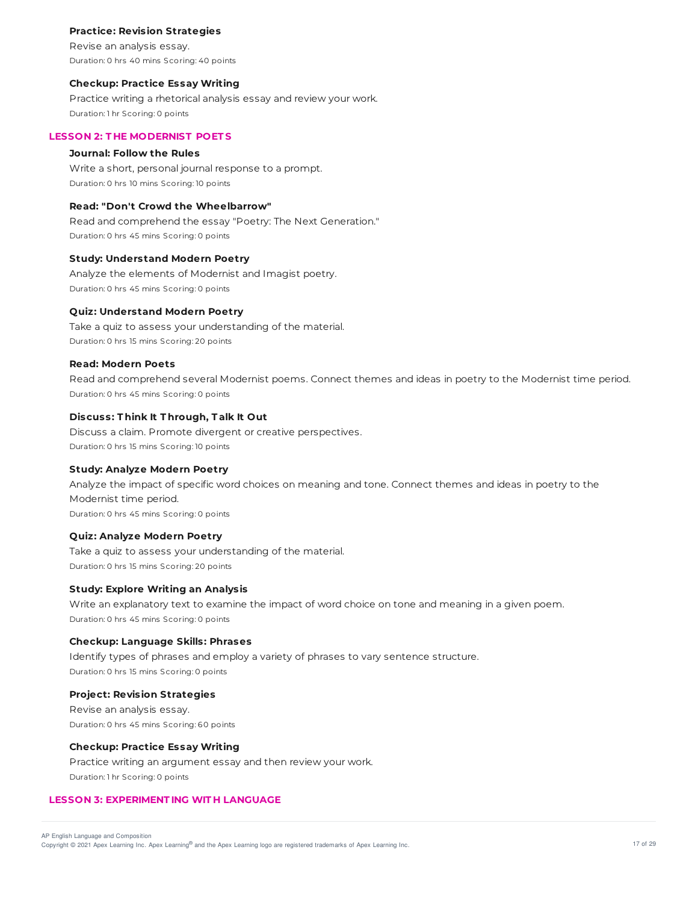### **Practice: Revision Strategies**

Revise an analysis essay. Duration: 0 hrs 40 mins Scoring: 40 points

### **Checkup: Practice Essay Writing**

Practice writing a rhetorical analysis essay and review your work. Duration: 1 hr Scoring: 0 points

### **LESSON 2: T HE MODERNIST POET S**

### **Journal: Follow the Rules**

Write a short, personal journal response to a prompt. Duration: 0 hrs 10 mins Scoring: 10 points

# **Read: "Don't Crowd the Wheelbarrow"**

Read and comprehend the essay "Poetry: The Next Generation." Duration: 0 hrs 45 mins Scoring: 0 points

### **Study: Understand Modern Poetry**

Analyze the elements of Modernist and Imagist poetry. Duration: 0 hrs 45 mins Scoring: 0 points

# **Quiz: Understand Modern Poetry**

Take a quiz to assess your understanding of the material. Duration: 0 hrs 15 mins Scoring: 20 points

### **Read: Modern Poets**

Read and comprehend several Modernist poems. Connect themes and ideas in poetry to the Modernist time period. Duration: 0 hrs 45 mins Scoring: 0 points

# **Discuss: T hink It T hrough, T alk It Out**

Discuss a claim. Promote divergent or creative perspectives. Duration: 0 hrs 15 mins Scoring: 10 points

### **Study: Analyze Modern Poetry**

Analyze the impact of specific word choices on meaning and tone. Connect themes and ideas in poetry to the Modernist time period. Duration: 0 hrs 45 mins Scoring: 0 points

### **Quiz: Analyze Modern Poetry**

Take a quiz to assess your understanding of the material. Duration: 0 hrs 15 mins Scoring: 20 points

#### **Study: Explore Writing an Analysis**

Write an explanatory text to examine the impact of word choice on tone and meaning in a given poem. Duration: 0 hrs 45 mins Scoring: 0 points

### **Checkup: Language Skills: Phrases**

Identify types of phrases and employ a variety of phrases to vary sentence structure. Duration: 0 hrs 15 mins Scoring: 0 points

#### **Project: Revision Strategies**

Revise an analysis essay. Duration: 0 hrs 45 mins Scoring: 60 points

#### **Checkup: Practice Essay Writing**

Practice writing an argument essay and then review your work. Duration: 1 hr Scoring: 0 points

# **LESSON 3: EXPERIMENT ING WIT H LANGUAGE**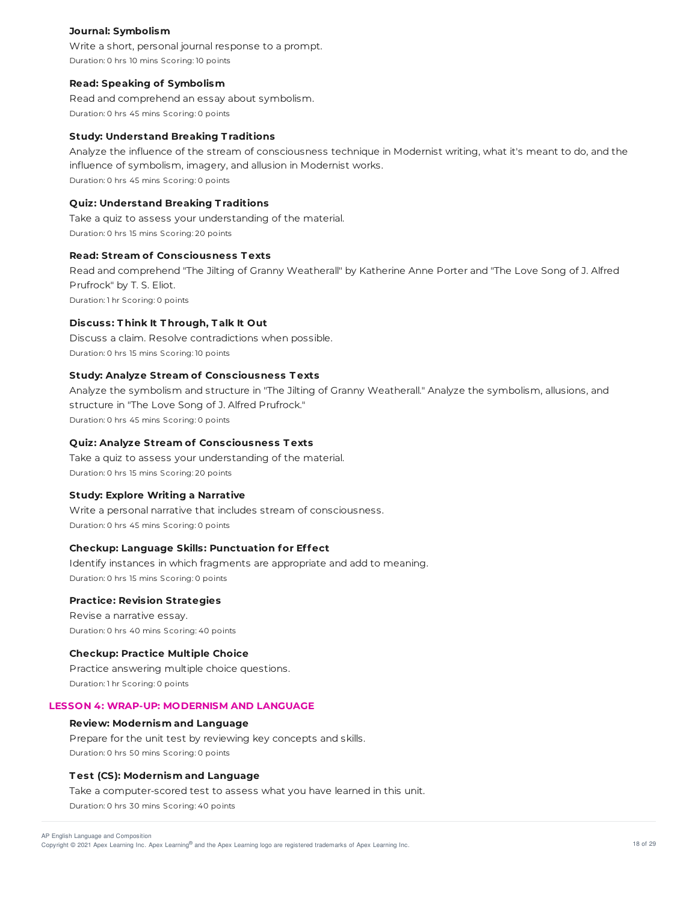### **Journal: Symbolism**

Write a short, personal journal response to a prompt. Duration: 0 hrs 10 mins Scoring: 10 points

### **Read: Speaking of Symbolism**

Read and comprehend an essay about symbolism. Duration: 0 hrs 45 mins Scoring: 0 points

#### **Study: Understand Breaking T raditions**

Analyze the influence of the stream of consciousness technique in Modernist writing, what it's meant to do, and the influence of symbolism, imagery, and allusion in Modernist works. Duration: 0 hrs 45 mins Scoring: 0 points

#### **Quiz: Understand Breaking T raditions**

Take a quiz to assess your understanding of the material. Duration: 0 hrs 15 mins Scoring: 20 points

# **Read: Stream of Consciousness T exts**

Read and comprehend "The Jilting of Granny Weatherall" by Katherine Anne Porter and "The Love Song of J. Alfred Prufrock" by T. S. Eliot. Duration: 1 hr Scoring: 0 points

### **Discuss: T hink It T hrough, T alk It Out**

Discuss a claim. Resolve contradictions when possible. Duration: 0 hrs 15 mins Scoring: 10 points

# **Study: Analyze Stream of Consciousness T exts**

Analyze the symbolism and structure in "The Jilting of Granny Weatherall." Analyze the symbolism, allusions, and structure in "The Love Song of J. Alfred Prufrock." Duration: 0 hrs 45 mins Scoring: 0 points

#### **Quiz: Analyze Stream of Consciousness T exts**

Take a quiz to assess your understanding of the material. Duration: 0 hrs 15 mins Scoring: 20 points

### **Study: Explore Writing a Narrative**

Write a personal narrative that includes stream of consciousness. Duration: 0 hrs 45 mins Scoring: 0 points

## **Checkup: Language Skills: Punctuation for Effect**

Identify instances in which fragments are appropriate and add to meaning. Duration: 0 hrs 15 mins Scoring: 0 points

### **Practice: Revision Strategies**

Revise a narrative essay. Duration: 0 hrs 40 mins Scoring: 40 points

### **Checkup: Practice Multiple Choice**

Practice answering multiple choice questions. Duration: 1 hr Scoring: 0 points

### **LESSON 4: WRAP-UP: MODERNISM AND LANGUAGE**

### **Review: Modernism and Language**

Prepare for the unit test by reviewing key concepts and skills. Duration: 0 hrs 50 mins Scoring: 0 points

### **T est (CS): Modernism and Language**

Take a computer-scored test to assess what you have learned in this unit.

Duration: 0 hrs 30 mins Scoring: 40 points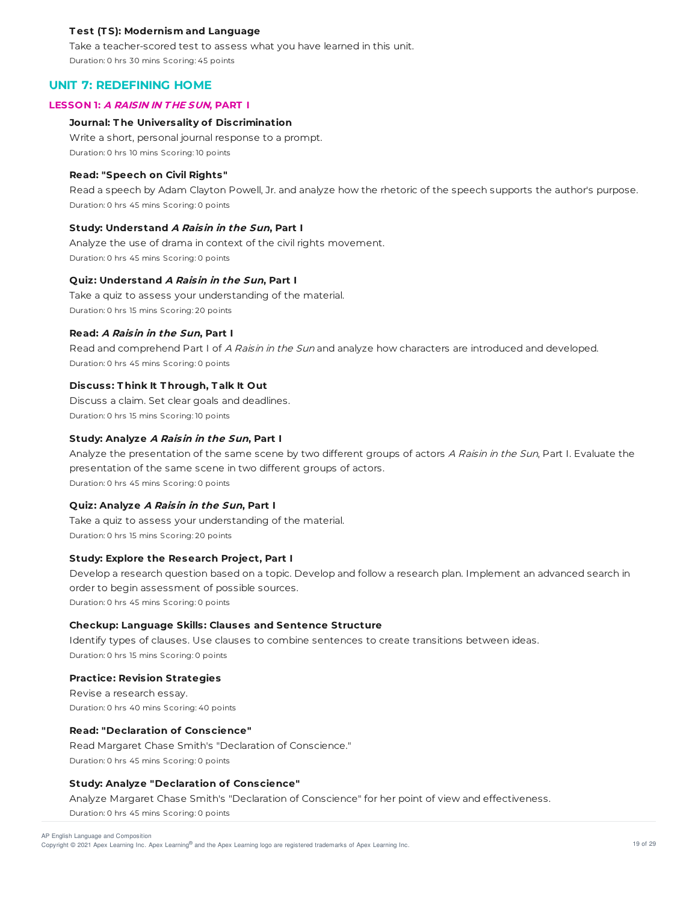### **T est (T S): Modernism and Language**

Take a teacher-scored test to assess what you have learned in this unit. Duration: 0 hrs 30 mins Scoring: 45 points

# **UNIT 7: REDEFINING HOME**

#### **LESSON 1: A RAISIN IN T HE SUN, PART I**

### **Journal: T he Universality of Discrimination**

Write a short, personal journal response to a prompt. Duration: 0 hrs 10 mins Scoring: 10 points

### **Read: "Speech on Civil Rights"**

Read a speech by Adam Clayton Powell, Jr. and analyze how the rhetoric of the speech supports the author's purpose. Duration: 0 hrs 45 mins Scoring: 0 points

#### **Study: Understand A Raisin in the Sun, Part I**

Analyze the use of drama in context of the civil rights movement. Duration: 0 hrs 45 mins Scoring: 0 points

### **Quiz: Understand A Raisin in the Sun, Part I**

Take a quiz to assess your understanding of the material. Duration: 0 hrs 15 mins Scoring: 20 points

#### **Read: A Raisin in the Sun, Part I**

Read and comprehend Part I of A Raisin in the Sun and analyze how characters are introduced and developed. Duration: 0 hrs 45 mins Scoring: 0 points

# **Discuss: T hink It T hrough, T alk It Out**

Discuss a claim. Set clear goals and deadlines. Duration: 0 hrs 15 mins Scoring: 10 points

#### **Study: Analyze A Raisin in the Sun, Part I**

Analyze the presentation of the same scene by two different groups of actors A Raisin in the Sun, Part I. Evaluate the presentation of the same scene in two different groups of actors. Duration: 0 hrs 45 mins Scoring: 0 points

# **Quiz: Analyze A Raisin in the Sun, Part I**

Take a quiz to assess your understanding of the material. Duration: 0 hrs 15 mins Scoring: 20 points

# **Study: Explore the Research Project, Part I**

Develop a research question based on a topic. Develop and follow a research plan. Implement an advanced search in order to begin assessment of possible sources. Duration: 0 hrs 45 mins Scoring: 0 points

### **Checkup: Language Skills: Clauses and Sentence Structure**

Identify types of clauses. Use clauses to combine sentences to create transitions between ideas. Duration: 0 hrs 15 mins Scoring: 0 points

#### **Practice: Revision Strategies**

Revise a research essay. Duration: 0 hrs 40 mins Scoring: 40 points

#### **Read: "Declaration of Conscience"**

Read Margaret Chase Smith's "Declaration of Conscience." Duration: 0 hrs 45 mins Scoring: 0 points

# **Study: Analyze "Declaration of Conscience"**

Analyze Margaret Chase Smith's "Declaration of Conscience" for her point of view and effectiveness.

Duration: 0 hrs 45 mins Scoring: 0 points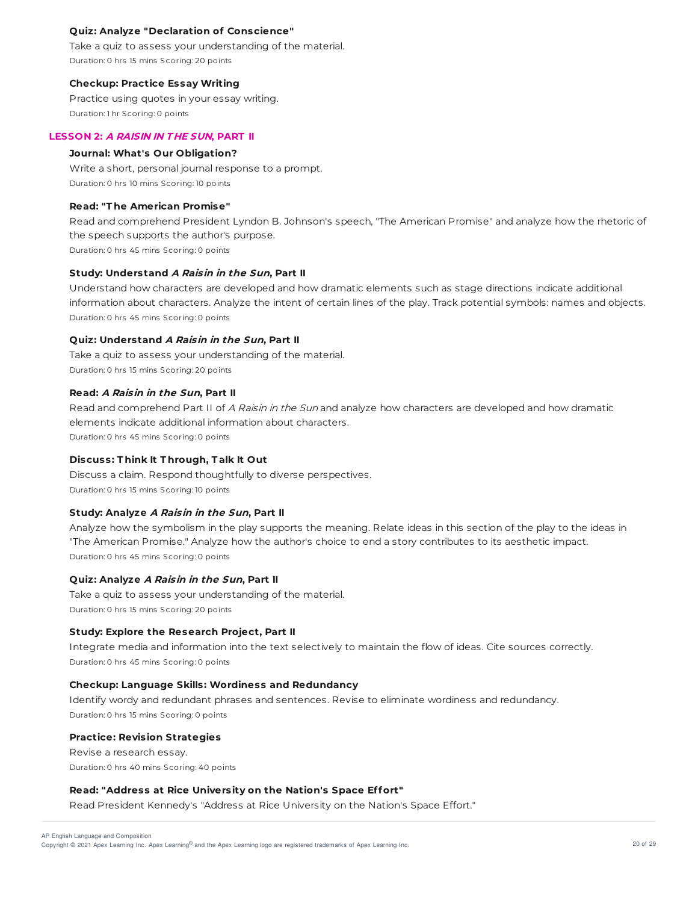## **Quiz: Analyze "Declaration of Conscience"**

Take a quiz to assess your understanding of the material. Duration: 0 hrs 15 mins Scoring: 20 points

### **Checkup: Practice Essay Writing**

Practice using quotes in your essay writing. Duration: 1 hr Scoring: 0 points

### **LESSON 2: A RAISIN IN T HE SUN, PART II**

### **Journal: What's Our Obligation?**

Write a short, personal journal response to a prompt. Duration: 0 hrs 10 mins Scoring: 10 points

# **Read: "T he American Promise"**

Read and comprehend President Lyndon B. Johnson's speech, "The American Promise" and analyze how the rhetoric of the speech supports the author's purpose. Duration: 0 hrs 45 mins Scoring: 0 points

### **Study: Understand A Raisin in the Sun, Part II**

Understand how characters are developed and how dramatic elements such as stage directions indicate additional information about characters. Analyze the intent of certain lines of the play. Track potential symbols: names and objects. Duration: 0 hrs 45 mins Scoring: 0 points

# **Quiz: Understand A Raisin in the Sun, Part II**

Take a quiz to assess your understanding of the material. Duration: 0 hrs 15 mins Scoring: 20 points

### **Read: A Raisin in the Sun, Part II**

Read and comprehend Part II of A Raisin in the Sun and analyze how characters are developed and how dramatic elements indicate additional information about characters. Duration: 0 hrs 45 mins Scoring: 0 points

### **Discuss: T hink It T hrough, T alk It Out**

Discuss a claim. Respond thoughtfully to diverse perspectives. Duration: 0 hrs 15 mins Scoring: 10 points

### **Study: Analyze A Raisin in the Sun, Part II**

Analyze how the symbolism in the play supports the meaning. Relate ideas in this section of the play to the ideas in "The American Promise." Analyze how the author's choice to end a story contributes to its aesthetic impact. Duration: 0 hrs 45 mins Scoring: 0 points

#### **Quiz: Analyze A Raisin in the Sun, Part II**

Take a quiz to assess your understanding of the material. Duration: 0 hrs 15 mins Scoring: 20 points

#### **Study: Explore the Research Project, Part II**

Integrate media and information into the text selectively to maintain the flow of ideas. Cite sources correctly. Duration: 0 hrs 45 mins Scoring: 0 points

#### **Checkup: Language Skills: Wordiness and Redundancy**

Identify wordy and redundant phrases and sentences. Revise to eliminate wordiness and redundancy. Duration: 0 hrs 15 mins Scoring: 0 points

#### **Practice: Revision Strategies**

Revise a research essay. Duration: 0 hrs 40 mins Scoring: 40 points

### **Read: "Address at Rice University on the Nation's Space Effort"**

Read President Kennedy's "Address at Rice University on the Nation's Space Effort."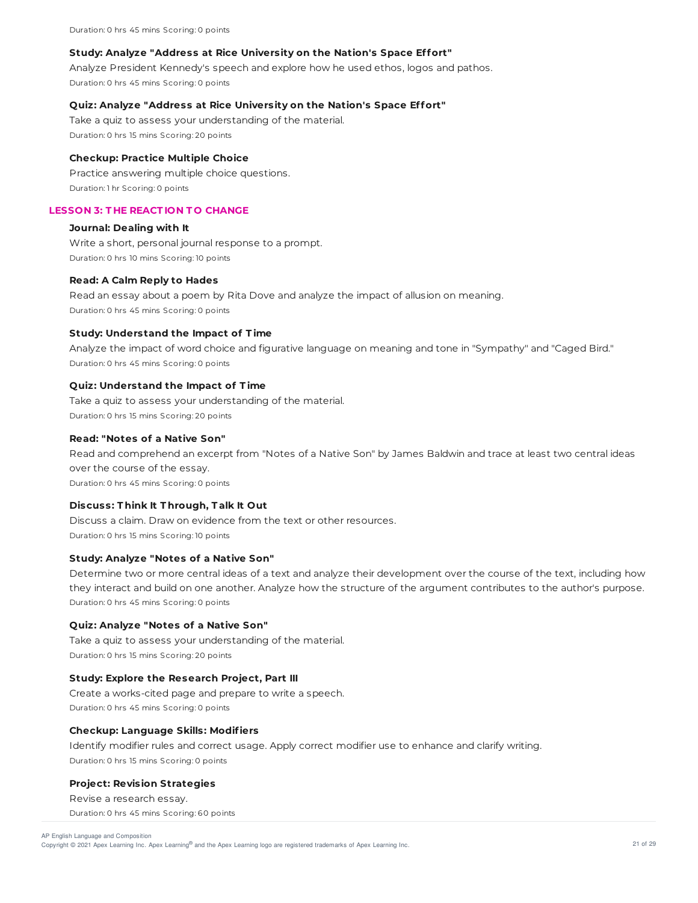Duration: 0 hrs 45 mins Scoring: 0 points

#### **Study: Analyze "Address at Rice University on the Nation's Space Effort"**

Analyze President Kennedy's speech and explore how he used ethos, logos and pathos. Duration: 0 hrs 45 mins Scoring: 0 points

### **Quiz: Analyze "Address at Rice University on the Nation's Space Effort"**

Take a quiz to assess your understanding of the material. Duration: 0 hrs 15 mins Scoring: 20 points

#### **Checkup: Practice Multiple Choice**

Practice answering multiple choice questions. Duration: 1 hr Scoring: 0 points

# **LESSON 3: T HE REACT ION T O CHANGE**

#### **Journal: Dealing with It**

Write a short, personal journal response to a prompt. Duration: 0 hrs 10 mins Scoring: 10 points

### **Read: A Calm Reply to Hades**

Read an essay about a poem by Rita Dove and analyze the impact of allusion on meaning. Duration: 0 hrs 45 mins Scoring: 0 points

#### **Study: Understand the Impact of T ime**

Analyze the impact of word choice and figurative language on meaning and tone in "Sympathy" and "Caged Bird." Duration: 0 hrs 45 mins Scoring: 0 points

#### **Quiz: Understand the Impact of T ime**

Take a quiz to assess your understanding of the material. Duration: 0 hrs 15 mins Scoring: 20 points

### **Read: "Notes of a Native Son"**

Read and comprehend an excerpt from "Notes of a Native Son" by James Baldwin and trace at least two central ideas over the course of the essay. Duration: 0 hrs 45 mins Scoring: 0 points

#### **Discuss: T hink It T hrough, T alk It Out**

Discuss a claim. Draw on evidence from the text or other resources. Duration: 0 hrs 15 mins Scoring: 10 points

#### **Study: Analyze "Notes of a Native Son"**

Determine two or more central ideas of a text and analyze their development over the course of the text, including how they interact and build on one another. Analyze how the structure of the argument contributes to the author's purpose. Duration: 0 hrs 45 mins Scoring: 0 points

#### **Quiz: Analyze "Notes of a Native Son"**

Take a quiz to assess your understanding of the material. Duration: 0 hrs 15 mins Scoring: 20 points

# **Study: Explore the Research Project, Part III**

Create a works-cited page and prepare to write a speech. Duration: 0 hrs 45 mins Scoring: 0 points

#### **Checkup: Language Skills: Modifiers**

Identify modifier rules and correct usage. Apply correct modifier use to enhance and clarify writing. Duration: 0 hrs 15 mins Scoring: 0 points

### **Project: Revision Strategies**

Revise a research essay.

Duration: 0 hrs 45 mins Scoring: 60 points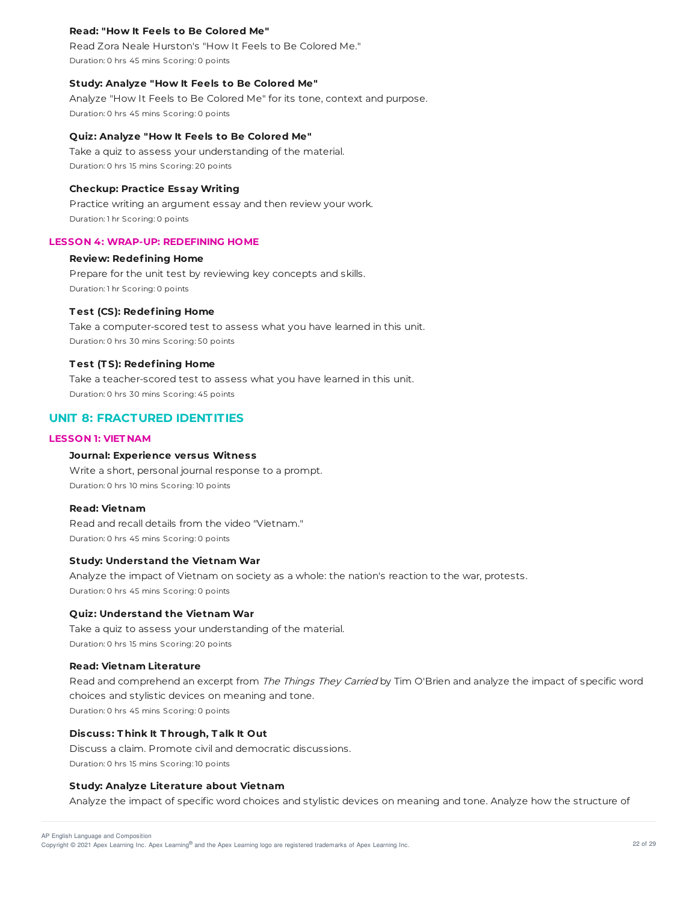### **Read: "How It Feels to Be Colored Me"**

Read Zora Neale Hurston's "How It Feels to Be Colored Me." Duration: 0 hrs 45 mins Scoring: 0 points

#### **Study: Analyze "How It Feels to Be Colored Me"**

Analyze "How It Feels to Be Colored Me" for its tone, context and purpose. Duration: 0 hrs 45 mins Scoring: 0 points

### **Quiz: Analyze "How It Feels to Be Colored Me"**

Take a quiz to assess your understanding of the material. Duration: 0 hrs 15 mins Scoring: 20 points

# **Checkup: Practice Essay Writing**

Practice writing an argument essay and then review your work. Duration: 1 hr Scoring: 0 points

### **LESSON 4: WRAP-UP: REDEFINING HOME**

## **Review: Redefining Home**

Prepare for the unit test by reviewing key concepts and skills. Duration: 1 hr Scoring: 0 points

#### **T est (CS): Redefining Home**

Take a computer-scored test to assess what you have learned in this unit. Duration: 0 hrs 30 mins Scoring: 50 points

### **T est (T S): Redefining Home**

Take a teacher-scored test to assess what you have learned in this unit. Duration: 0 hrs 30 mins Scoring: 45 points

# **UNIT 8: FRACTURED IDENTITIES**

# **LESSON 1: VIET NAM**

### **Journal: Experience versus Witness**

Write a short, personal journal response to a prompt. Duration: 0 hrs 10 mins Scoring: 10 points

#### **Read: Vietnam**

Read and recall details from the video "Vietnam." Duration: 0 hrs 45 mins Scoring: 0 points

#### **Study: Understand the Vietnam War**

Analyze the impact of Vietnam on society as a whole: the nation's reaction to the war, protests. Duration: 0 hrs 45 mins Scoring: 0 points

### **Quiz: Understand the Vietnam War**

Take a quiz to assess your understanding of the material. Duration: 0 hrs 15 mins Scoring: 20 points

#### **Read: Vietnam Literature**

Read and comprehend an excerpt from The Things They Carried by Tim O'Brien and analyze the impact of specific word choices and stylistic devices on meaning and tone. Duration: 0 hrs 45 mins Scoring: 0 points

### **Discuss: T hink It T hrough, T alk It Out**

Discuss a claim. Promote civil and democratic discussions. Duration: 0 hrs 15 mins Scoring: 10 points

#### **Study: Analyze Literature about Vietnam**

Analyze the impact of specific word choices and stylistic devices on meaning and tone. Analyze how the structure of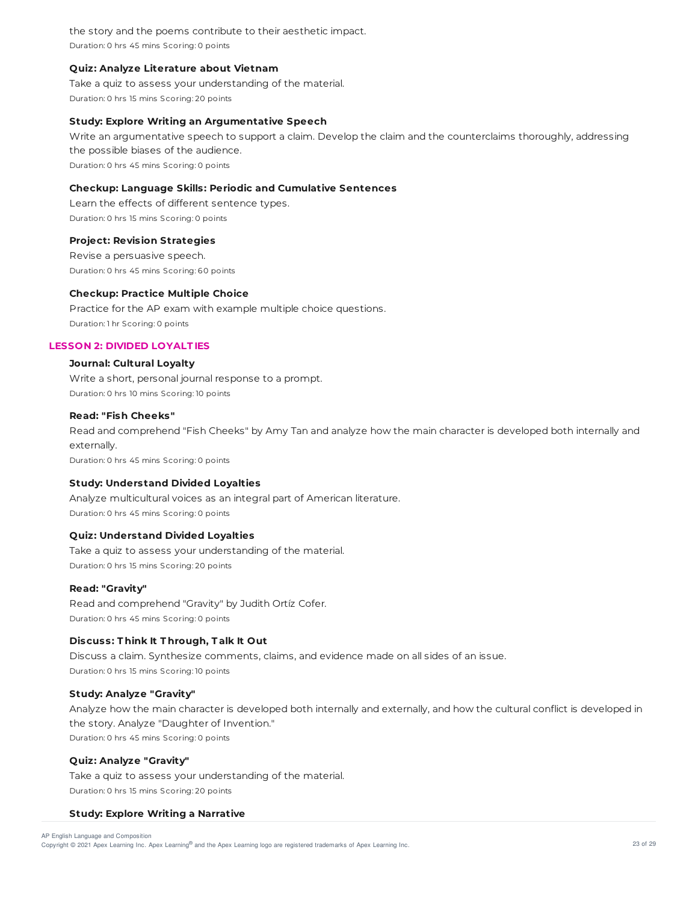the story and the poems contribute to their aesthetic impact. Duration: 0 hrs 45 mins Scoring: 0 points

### **Quiz: Analyze Literature about Vietnam**

Take a quiz to assess your understanding of the material. Duration: 0 hrs 15 mins Scoring: 20 points

# **Study: Explore Writing an Argumentative Speech**

Write an argumentative speech to support a claim. Develop the claim and the counterclaims thoroughly, addressing the possible biases of the audience. Duration: 0 hrs 45 mins Scoring: 0 points

# **Checkup: Language Skills: Periodic and Cumulative Sentences**

Learn the effects of different sentence types. Duration: 0 hrs 15 mins Scoring: 0 points

# **Project: Revision Strategies**

Revise a persuasive speech. Duration: 0 hrs 45 mins Scoring: 60 points

### **Checkup: Practice Multiple Choice**

Practice for the AP exam with example multiple choice questions. Duration: 1 hr Scoring: 0 points

### **LESSON 2: DIVIDED LOYALT IES**

# **Journal: Cultural Loyalty**

Write a short, personal journal response to a prompt. Duration: 0 hrs 10 mins Scoring: 10 points

# **Read: "Fish Cheeks"**

Read and comprehend "Fish Cheeks" by Amy Tan and analyze how the main character is developed both internally and externally.

Duration: 0 hrs 45 mins Scoring: 0 points

# **Study: Understand Divided Loyalties**

Analyze multicultural voices as an integral part of American literature. Duration: 0 hrs 45 mins Scoring: 0 points

# **Quiz: Understand Divided Loyalties**

Take a quiz to assess your understanding of the material. Duration: 0 hrs 15 mins Scoring: 20 points

## **Read: "Gravity"**

Read and comprehend "Gravity" by Judith Ortíz Cofer. Duration: 0 hrs 45 mins Scoring: 0 points

# **Discuss: T hink It T hrough, T alk It Out**

Discuss a claim. Synthesize comments, claims, and evidence made on all sides of an issue. Duration: 0 hrs 15 mins Scoring: 10 points

# **Study: Analyze "Gravity"**

Analyze how the main character is developed both internally and externally, and how the cultural conflict is developed in the story. Analyze "Daughter of Invention." Duration: 0 hrs 45 mins Scoring: 0 points

### **Quiz: Analyze "Gravity"**

Take a quiz to assess your understanding of the material. Duration: 0 hrs 15 mins Scoring: 20 points

### **Study: Explore Writing a Narrative**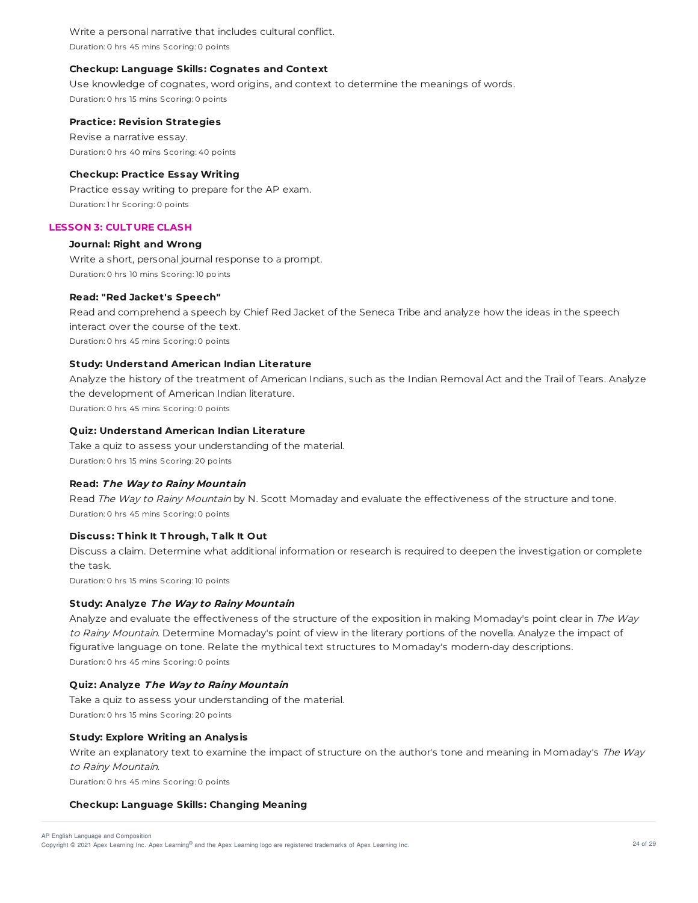Write a personal narrative that includes cultural conflict. Duration: 0 hrs 45 mins Scoring: 0 points

## **Checkup: Language Skills: Cognates and Context**

Use knowledge of cognates, word origins, and context to determine the meanings of words. Duration: 0 hrs 15 mins Scoring: 0 points

### **Practice: Revision Strategies**

Revise a narrative essay. Duration: 0 hrs 40 mins Scoring: 40 points

## **Checkup: Practice Essay Writing**

Practice essay writing to prepare for the AP exam. Duration: 1 hr Scoring: 0 points

# **LESSON 3: CULT URE CLASH**

# **Journal: Right and Wrong**

Write a short, personal journal response to a prompt. Duration: 0 hrs 10 mins Scoring: 10 points

### **Read: "Red Jacket's Speech"**

Read and comprehend a speech by Chief Red Jacket of the Seneca Tribe and analyze how the ideas in the speech interact over the course of the text. Duration: 0 hrs 45 mins Scoring: 0 points

## **Study: Understand American Indian Literature**

Analyze the history of the treatment of American Indians, such as the Indian Removal Act and the Trail of Tears. Analyze the development of American Indian literature.

Duration: 0 hrs 45 mins Scoring: 0 points

# **Quiz: Understand American Indian Literature**

Take a quiz to assess your understanding of the material. Duration: 0 hrs 15 mins Scoring: 20 points

### **Read: The Way to Rainy Mountain**

Read The Way to Rainy Mountain by N. Scott Momaday and evaluate the effectiveness of the structure and tone. Duration: 0 hrs 45 mins Scoring: 0 points

# **Discuss: T hink It T hrough, T alk It Out**

Discuss a claim. Determine what additional information or research is required to deepen the investigation or complete the task.

Duration: 0 hrs 15 mins Scoring: 10 points

### **Study: Analyze The Way to Rainy Mountain**

Analyze and evaluate the effectiveness of the structure of the exposition in making Momaday's point clear in The Way to Rainy Mountain. Determine Momaday's point of view in the literary portions of the novella. Analyze the impact of figurative language on tone. Relate the mythical text structures to Momaday's modern-day descriptions. Duration: 0 hrs 45 mins Scoring: 0 points

### **Quiz: Analyze The Way to Rainy Mountain**

Take a quiz to assess your understanding of the material. Duration: 0 hrs 15 mins Scoring: 20 points

### **Study: Explore Writing an Analysis**

Write an explanatory text to examine the impact of structure on the author's tone and meaning in Momaday's The Way to Rainy Mountain. Duration: 0 hrs 45 mins Scoring: 0 points

# **Checkup: Language Skills: Changing Meaning**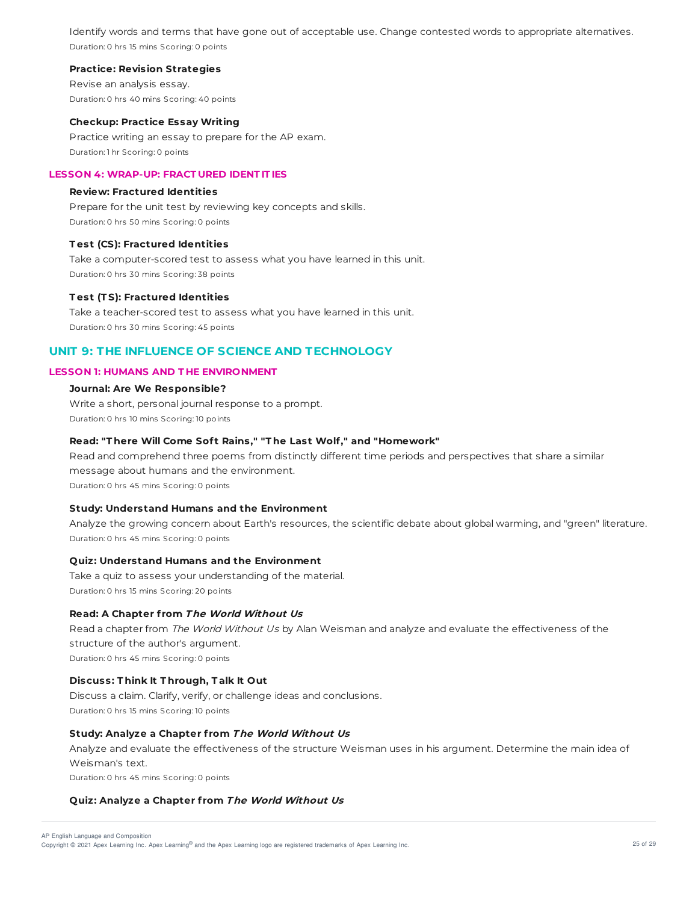Identify words and terms that have gone out of acceptable use. Change contested words to appropriate alternatives. Duration: 0 hrs 15 mins Scoring: 0 points

### **Practice: Revision Strategies**

Revise an analysis essay. Duration: 0 hrs 40 mins Scoring: 40 points

### **Checkup: Practice Essay Writing**

Practice writing an essay to prepare for the AP exam. Duration: 1 hr Scoring: 0 points

#### **LESSON 4: WRAP-UP: FRACT URED IDENT IT IES**

#### **Review: Fractured Identities**

Prepare for the unit test by reviewing key concepts and skills. Duration: 0 hrs 50 mins Scoring: 0 points

### **T est (CS): Fractured Identities**

Take a computer-scored test to assess what you have learned in this unit. Duration: 0 hrs 30 mins Scoring: 38 points

#### **T est (T S): Fractured Identities**

Take a teacher-scored test to assess what you have learned in this unit. Duration: 0 hrs 30 mins Scoring: 45 points

# **UNIT 9: THE INFLUENCE OF SCIENCE AND TECHNOLOGY**

# **LESSON 1: HUMANS AND T HE ENVIRONMENT**

### **Journal: Are We Responsible?**

Write a short, personal journal response to a prompt. Duration: 0 hrs 10 mins Scoring: 10 points

#### **Read: "T here Will Come Sof t Rains," "T he Last Wolf," and "Homework"**

Read and comprehend three poems from distinctly different time periods and perspectives that share a similar message about humans and the environment. Duration: 0 hrs 45 mins Scoring: 0 points

### **Study: Understand Humans and the Environment**

Analyze the growing concern about Earth's resources, the scientific debate about global warming, and "green" literature. Duration: 0 hrs 45 mins Scoring: 0 points

#### **Quiz: Understand Humans and the Environment**

Take a quiz to assess your understanding of the material. Duration: 0 hrs 15 mins Scoring: 20 points

### **Read: A Chapter f rom The World Without Us**

Read a chapter from The World Without Us by Alan Weisman and analyze and evaluate the effectiveness of the structure of the author's argument. Duration: 0 hrs 45 mins Scoring: 0 points

### **Discuss: T hink It T hrough, T alk It Out**

Discuss a claim. Clarify, verify, or challenge ideas and conclusions. Duration: 0 hrs 15 mins Scoring: 10 points

#### **Study: Analyze a Chapter f rom The World Without Us**

Analyze and evaluate the effectiveness of the structure Weisman uses in his argument. Determine the main idea of Weisman's text.

Duration: 0 hrs 45 mins Scoring: 0 points

### **Quiz: Analyze a Chapter f rom The World Without Us**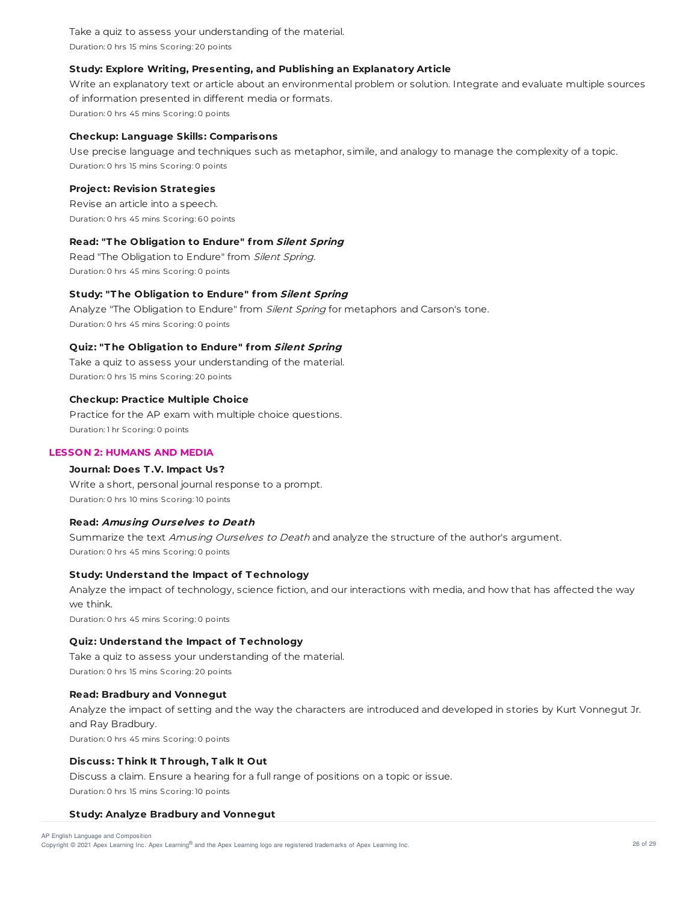Take a quiz to assess your understanding of the material. Duration: 0 hrs 15 mins Scoring: 20 points

# **Study: Explore Writing, Presenting, and Publishing an Explanatory Article**

Write an explanatory text or article about an environmental problem or solution. Integrate and evaluate multiple sources of information presented in different media or formats. Duration: 0 hrs 45 mins Scoring: 0 points

### **Checkup: Language Skills: Comparisons**

Use precise language and techniques such as metaphor, simile, and analogy to manage the complexity of a topic. Duration: 0 hrs 15 mins Scoring: 0 points

### **Project: Revision Strategies**

Revise an article into a speech. Duration: 0 hrs 45 mins Scoring: 60 points

# **Read: "T he Obligation to Endure" f rom Silent Spring**

Read "The Obligation to Endure" from Silent Spring. Duration: 0 hrs 45 mins Scoring: 0 points

# **Study: "T he Obligation to Endure" f rom Silent Spring**

Analyze "The Obligation to Endure" from *Silent Spring* for metaphors and Carson's tone. Duration: 0 hrs 45 mins Scoring: 0 points

# **Quiz: "T he Obligation to Endure" f rom Silent Spring**

Take a quiz to assess your understanding of the material. Duration: 0 hrs 15 mins Scoring: 20 points

### **Checkup: Practice Multiple Choice**

Practice for the AP exam with multiple choice questions. Duration: 1 hr Scoring: 0 points

# **LESSON 2: HUMANS AND MEDIA**

# **Journal: Does T .V. Impact Us?**

Write a short, personal journal response to a prompt. Duration: 0 hrs 10 mins Scoring: 10 points

### **Read: Amusing Ourselves to Death**

Summarize the text Amusing Ourselves to Death and analyze the structure of the author's argument. Duration: 0 hrs 45 mins Scoring: 0 points

### **Study: Understand the Impact of T echnology**

Analyze the impact of technology, science fiction, and our interactions with media, and how that has affected the way we think. Duration: 0 hrs 45 mins Scoring: 0 points

### **Quiz: Understand the Impact of T echnology**

Take a quiz to assess your understanding of the material. Duration: 0 hrs 15 mins Scoring: 20 points

### **Read: Bradbury and Vonnegut**

Analyze the impact of setting and the way the characters are introduced and developed in stories by Kurt Vonnegut Jr. and Ray Bradbury. Duration: 0 hrs 45 mins Scoring: 0 points

# **Discuss: T hink It T hrough, T alk It Out**

Discuss a claim. Ensure a hearing for a full range of positions on a topic or issue. Duration: 0 hrs 15 mins Scoring: 10 points

### **Study: Analyze Bradbury and Vonnegut**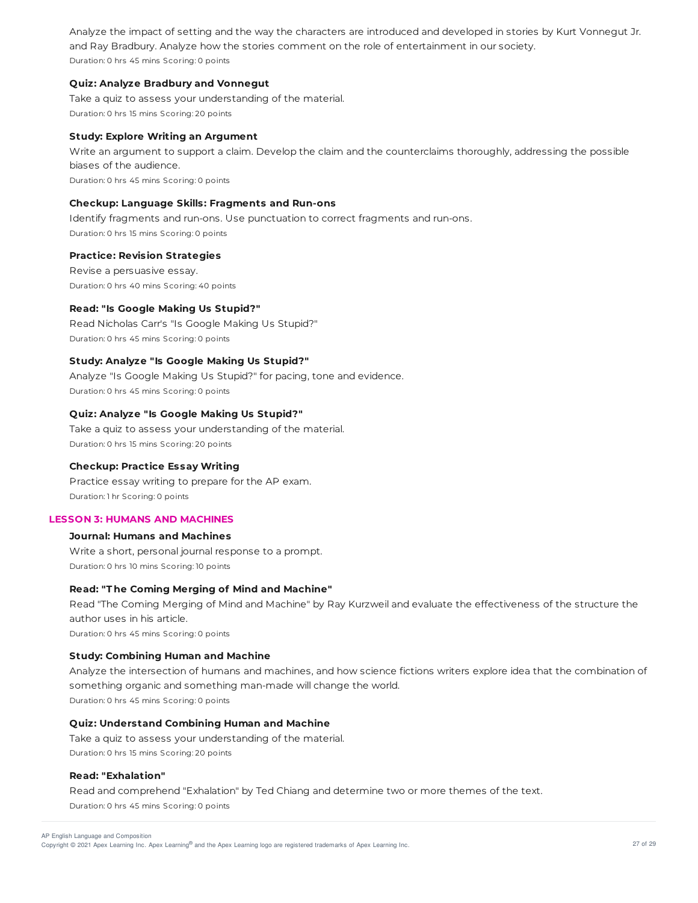Analyze the impact of setting and the way the characters are introduced and developed in stories by Kurt Vonnegut Jr. and Ray Bradbury. Analyze how the stories comment on the role of entertainment in our society. Duration: 0 hrs 45 mins Scoring: 0 points

## **Quiz: Analyze Bradbury and Vonnegut**

Take a quiz to assess your understanding of the material. Duration: 0 hrs 15 mins Scoring: 20 points

### **Study: Explore Writing an Argument**

Write an argument to support a claim. Develop the claim and the counterclaims thoroughly, addressing the possible biases of the audience. Duration: 0 hrs 45 mins Scoring: 0 points

### **Checkup: Language Skills: Fragments and Run-ons**

Identify fragments and run-ons. Use punctuation to correct fragments and run-ons. Duration: 0 hrs 15 mins Scoring: 0 points

### **Practice: Revision Strategies**

Revise a persuasive essay. Duration: 0 hrs 40 mins Scoring: 40 points

#### **Read: "Is Google Making Us Stupid?"**

Read Nicholas Carr's "Is Google Making Us Stupid?" Duration: 0 hrs 45 mins Scoring: 0 points

### **Study: Analyze "Is Google Making Us Stupid?"**

Analyze "Is Google Making Us Stupid?" for pacing, tone and evidence. Duration: 0 hrs 45 mins Scoring: 0 points

#### **Quiz: Analyze "Is Google Making Us Stupid?"**

Take a quiz to assess your understanding of the material. Duration: 0 hrs 15 mins Scoring: 20 points

#### **Checkup: Practice Essay Writing**

Practice essay writing to prepare for the AP exam. Duration: 1 hr Scoring: 0 points

### **LESSON 3: HUMANS AND MACHINES**

# **Journal: Humans and Machines**

Write a short, personal journal response to a prompt. Duration: 0 hrs 10 mins Scoring: 10 points

# **Read: "T he Coming Merging of Mind and Machine"**

Read "The Coming Merging of Mind and Machine" by Ray Kurzweil and evaluate the effectiveness of the structure the author uses in his article. Duration: 0 hrs 45 mins Scoring: 0 points

# **Study: Combining Human and Machine**

Analyze the intersection of humans and machines, and how science fictions writers explore idea that the combination of something organic and something man-made will change the world. Duration: 0 hrs 45 mins Scoring: 0 points

# **Quiz: Understand Combining Human and Machine**

Take a quiz to assess your understanding of the material. Duration: 0 hrs 15 mins Scoring: 20 points

### **Read: "Exhalation"**

Read and comprehend "Exhalation" by Ted Chiang and determine two or more themes of the text. Duration: 0 hrs 45 mins Scoring: 0 points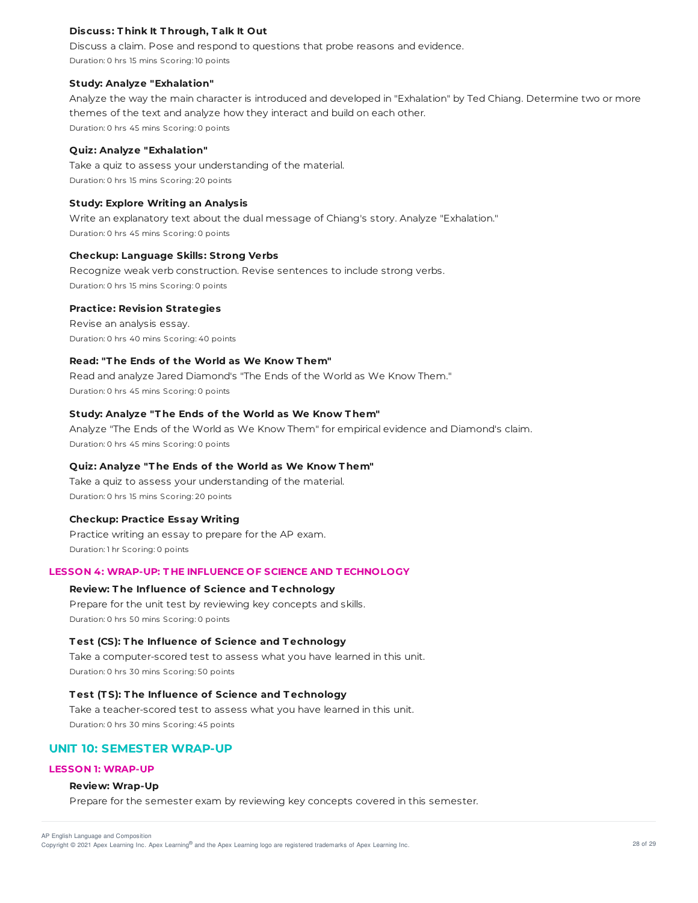## **Discuss: T hink It T hrough, T alk It Out**

Discuss a claim. Pose and respond to questions that probe reasons and evidence. Duration: 0 hrs 15 mins Scoring: 10 points

#### **Study: Analyze "Exhalation"**

Analyze the way the main character is introduced and developed in "Exhalation" by Ted Chiang. Determine two or more themes of the text and analyze how they interact and build on each other. Duration: 0 hrs 45 mins Scoring: 0 points

## **Quiz: Analyze "Exhalation"**

Take a quiz to assess your understanding of the material. Duration: 0 hrs 15 mins Scoring: 20 points

#### **Study: Explore Writing an Analysis**

Write an explanatory text about the dual message of Chiang's story. Analyze "Exhalation." Duration: 0 hrs 45 mins Scoring: 0 points

# **Checkup: Language Skills: Strong Verbs**

Recognize weak verb construction. Revise sentences to include strong verbs. Duration: 0 hrs 15 mins Scoring: 0 points

# **Practice: Revision Strategies**

Revise an analysis essay. Duration: 0 hrs 40 mins Scoring: 40 points

### **Read: "T he Ends of the World as We Know T hem"**

Read and analyze Jared Diamond's "The Ends of the World as We Know Them." Duration: 0 hrs 45 mins Scoring: 0 points

### **Study: Analyze "T he Ends of the World as We Know T hem"**

Analyze "The Ends of the World as We Know Them" for empirical evidence and Diamond's claim. Duration: 0 hrs 45 mins Scoring: 0 points

# **Quiz: Analyze "T he Ends of the World as We Know T hem"**

Take a quiz to assess your understanding of the material. Duration: 0 hrs 15 mins Scoring: 20 points

### **Checkup: Practice Essay Writing**

Practice writing an essay to prepare for the AP exam. Duration: 1 hr Scoring: 0 points

### **LESSON 4: WRAP-UP: T HE INFLUENCE OF SCIENCE AND T ECHNOLOGY**

## **Review: T he Influence of Science and T echnology**

Prepare for the unit test by reviewing key concepts and skills. Duration: 0 hrs 50 mins Scoring: 0 points

### **T est (CS): T he Influence of Science and T echnology**

Take a computer-scored test to assess what you have learned in this unit. Duration: 0 hrs 30 mins Scoring: 50 points

### **T est (T S): T he Influence of Science and T echnology**

Take a teacher-scored test to assess what you have learned in this unit. Duration: 0 hrs 30 mins Scoring: 45 points

# **UNIT 10: SEMESTER WRAP-UP**

# **LESSON 1: WRAP-UP**

### **Review: Wrap-Up**

Prepare for the semester exam by reviewing key concepts covered in this semester.